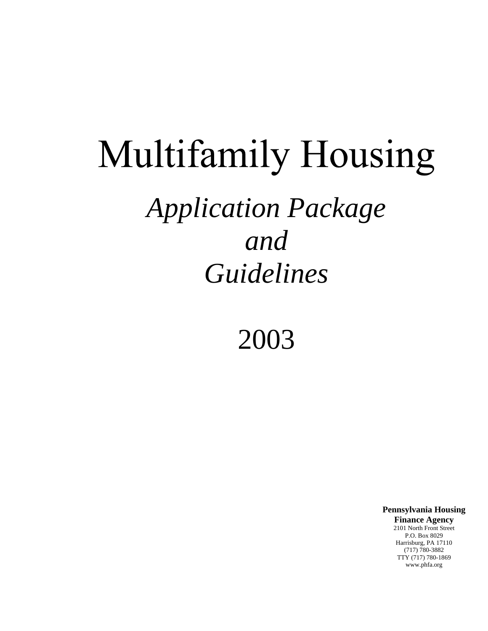# Multifamily Housing *Application Package and Guidelines*

2003

**Pennsylvania Housing Finance Agency** 2101 North Front Street P.O. Box 8029 Harrisburg, PA 17110 (717) 780-3882 TTY (717) 780-1869 www.phfa.org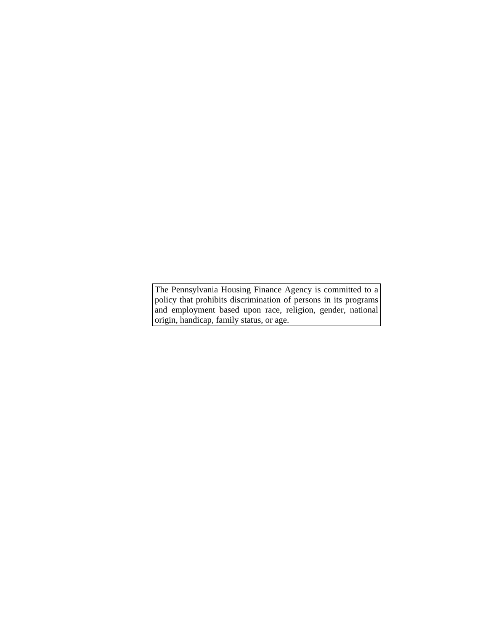The Pennsylvania Housing Finance Agency is committed to a policy that prohibits discrimination of persons in its programs and employment based upon race, religion, gender, national origin, handicap, family status, or age.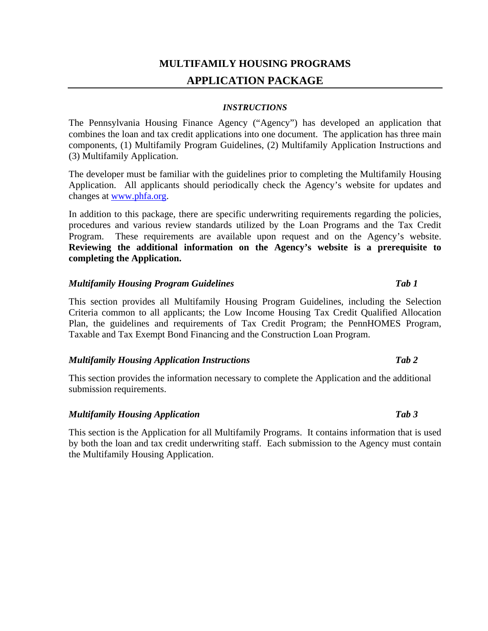#### **MULTIFAMILY HOUSING PROGRAMS APPLICATION PACKAGE**

#### *INSTRUCTIONS*

The Pennsylvania Housing Finance Agency ("Agency") has developed an application that combines the loan and tax credit applications into one document. The application has three main components, (1) Multifamily Program Guidelines, (2) Multifamily Application Instructions and (3) Multifamily Application.

The developer must be familiar with the guidelines prior to completing the Multifamily Housing Application. All applicants should periodically check the Agency's website for updates and changes at www.phfa.org.

In addition to this package, there are specific underwriting requirements regarding the policies, procedures and various review standards utilized by the Loan Programs and the Tax Credit Program. These requirements are available upon request and on the Agency's website. **Reviewing the additional information on the Agency's website is a prerequisite to completing the Application.**

#### *Multifamily Housing Program Guidelines Tab 1*

This section provides all Multifamily Housing Program Guidelines, including the Selection Criteria common to all applicants; the Low Income Housing Tax Credit Qualified Allocation Plan, the guidelines and requirements of Tax Credit Program; the PennHOMES Program, Taxable and Tax Exempt Bond Financing and the Construction Loan Program.

#### *Multifamily Housing Application Instructions Tab 2*

This section provides the information necessary to complete the Application and the additional submission requirements.

#### *Multifamily Housing Application Tab 3*

This section is the Application for all Multifamily Programs. It contains information that is used by both the loan and tax credit underwriting staff. Each submission to the Agency must contain the Multifamily Housing Application.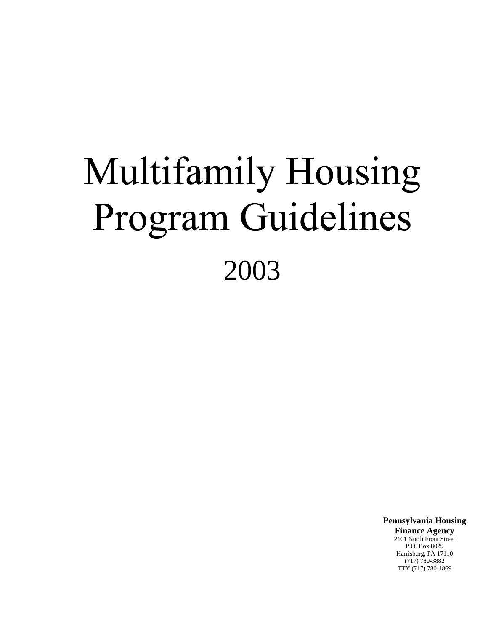# Multifamily Housing Program Guidelines 2003

**Pennsylvania Housing Finance Agency** 2101 North Front Street

P.O. Box 8029 Harrisburg, PA 17110 (717) 780-3882 TTY (717) 780-1869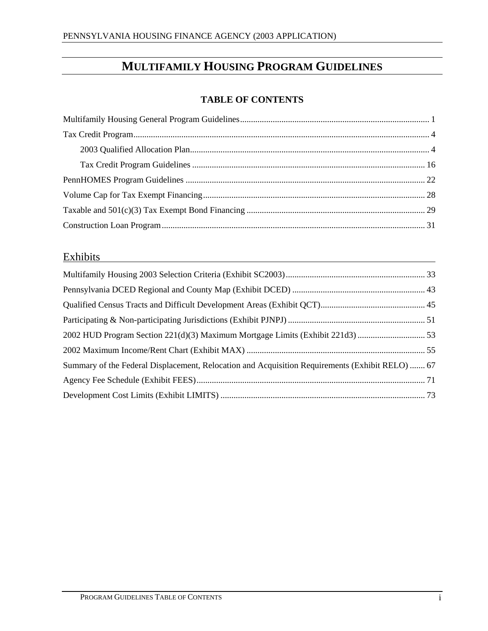## **MULTIFAMILY HOUSING PROGRAM GUIDELINES**

#### **TABLE OF CONTENTS**

| Multifamily Housing General Program Guidelines  |  |  |
|-------------------------------------------------|--|--|
| Tax Credit Program                              |  |  |
| 2003 Qualified Allocation Plan                  |  |  |
| Tax Credit Program Guidelines                   |  |  |
| PennHOMES Program Guidelines                    |  |  |
| Volume Cap for Tax Exempt Financing             |  |  |
| Taxable and 501(c)(3) Tax Exempt Bond Financing |  |  |
| Construction Loan Program                       |  |  |
|                                                 |  |  |

#### Exhibits

| Multifamily Housing 2003 Selection Criteria (Exhibit SC2003)                                    |  |
|-------------------------------------------------------------------------------------------------|--|
| Pennsylvania DCED Regional and County Map (Exhibit DCED)                                        |  |
| Qualified Census Tracts and Difficult Development Areas (Exhibit QCT)                           |  |
| Participating & Non-participating Jurisdictions (Exhibit PJNPJ)                                 |  |
| 2002 HUD Program Section 221(d)(3) Maximum Mortgage Limits (Exhibit 221d3)                      |  |
| 2002 Maximum Income/Rent Chart (Exhibit MAX)                                                    |  |
| Summary of the Federal Displacement, Relocation and Acquisition Requirements (Exhibit RELO)  67 |  |
| Agency Fee Schedule (Exhibit FEES)                                                              |  |
| Development Cost Limits (Exhibit LIMITS)                                                        |  |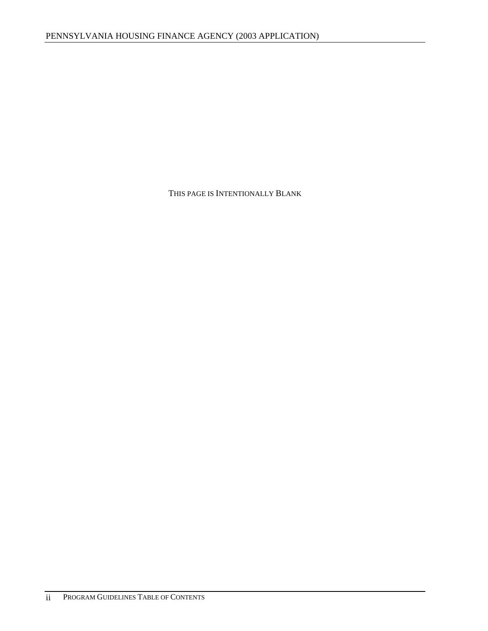THIS PAGE IS INTENTIONALLY BLANK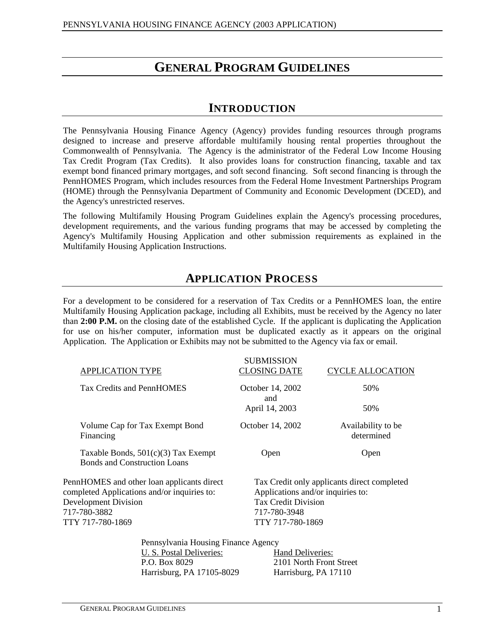#### **GENERAL PROGRAM GUIDELINES**

#### **INTRODUCTION**

The Pennsylvania Housing Finance Agency (Agency) provides funding resources through programs designed to increase and preserve affordable multifamily housing rental properties throughout the Commonwealth of Pennsylvania. The Agency is the administrator of the Federal Low Income Housing Tax Credit Program (Tax Credits). It also provides loans for construction financing, taxable and tax exempt bond financed primary mortgages, and soft second financing. Soft second financing is through the PennHOMES Program, which includes resources from the Federal Home Investment Partnerships Program (HOME) through the Pennsylvania Department of Community and Economic Development (DCED), and the Agency's unrestricted reserves.

The following Multifamily Housing Program Guidelines explain the Agency's processing procedures, development requirements, and the various funding programs that may be accessed by completing the Agency's Multifamily Housing Application and other submission requirements as explained in the Multifamily Housing Application Instructions.

#### **APPLICATION PROCESS**

For a development to be considered for a reservation of Tax Credits or a PennHOMES loan, the entire Multifamily Housing Application package, including all Exhibits, must be received by the Agency no later than **2:00 P.M.** on the closing date of the established Cycle. If the applicant is duplicating the Application for use on his/her computer, information must be duplicated exactly as it appears on the original Application. The Application or Exhibits may not be submitted to the Agency via fax or email.

|                                             | SUBMISSION                        |                                             |
|---------------------------------------------|-----------------------------------|---------------------------------------------|
| <b>APPLICATION TYPE</b>                     | <b>CLOSING DATE</b>               | <b>CYCLE ALLOCATION</b>                     |
| Tax Credits and PennHOMES                   | October 14, 2002                  | 50%                                         |
|                                             | and<br>April 14, 2003             | 50%                                         |
| Volume Cap for Tax Exempt Bond              | October 14, 2002                  | Availability to be                          |
| Financing                                   |                                   | determined                                  |
| Taxable Bonds, 501(c)(3) Tax Exempt         | Open                              | Open                                        |
| <b>Bonds and Construction Loans</b>         |                                   |                                             |
| PennHOMES and other loan applicants direct  |                                   | Tax Credit only applicants direct completed |
| completed Applications and/or inquiries to: | Applications and/or inquiries to: |                                             |
| <b>Development Division</b>                 | Tax Credit Division               |                                             |
| 717-780-3882                                | 717-780-3948                      |                                             |
| TTY 717-780-1869                            | TTY 717-780-1869                  |                                             |

P.O. Box 8029 2101 North Front Street

Harrisburg, PA 17105-8029 Harrisburg, PA 17110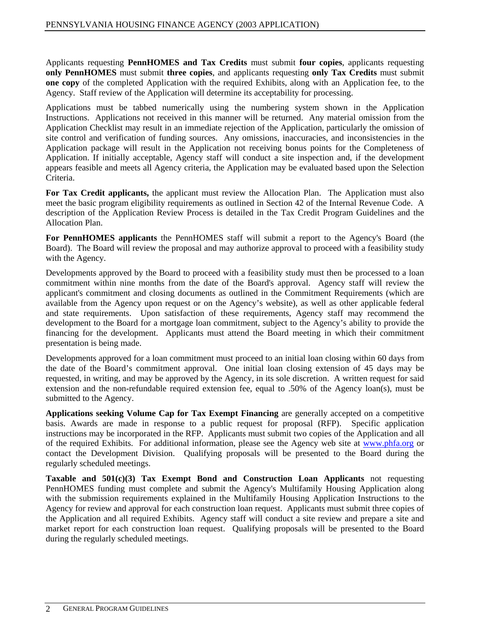Applicants requesting **PennHOMES and Tax Credits** must submit **four copies**, applicants requesting **only PennHOMES** must submit **three copies**, and applicants requesting **only Tax Credits** must submit **one copy** of the completed Application with the required Exhibits, along with an Application fee, to the Agency. Staff review of the Application will determine its acceptability for processing.

Applications must be tabbed numerically using the numbering system shown in the Application Instructions. Applications not received in this manner will be returned. Any material omission from the Application Checklist may result in an immediate rejection of the Application, particularly the omission of site control and verification of funding sources. Any omissions, inaccuracies, and inconsistencies in the Application package will result in the Application not receiving bonus points for the Completeness of Application. If initially acceptable, Agency staff will conduct a site inspection and, if the development appears feasible and meets all Agency criteria, the Application may be evaluated based upon the Selection Criteria.

**For Tax Credit applicants,** the applicant must review the Allocation Plan. The Application must also meet the basic program eligibility requirements as outlined in Section 42 of the Internal Revenue Code. A description of the Application Review Process is detailed in the Tax Credit Program Guidelines and the Allocation Plan.

**For PennHOMES applicants** the PennHOMES staff will submit a report to the Agency's Board (the Board). The Board will review the proposal and may authorize approval to proceed with a feasibility study with the Agency.

Developments approved by the Board to proceed with a feasibility study must then be processed to a loan commitment within nine months from the date of the Board's approval. Agency staff will review the applicant's commitment and closing documents as outlined in the Commitment Requirements (which are available from the Agency upon request or on the Agency's website), as well as other applicable federal and state requirements. Upon satisfaction of these requirements, Agency staff may recommend the development to the Board for a mortgage loan commitment, subject to the Agency's ability to provide the financing for the development. Applicants must attend the Board meeting in which their commitment presentation is being made.

Developments approved for a loan commitment must proceed to an initial loan closing within 60 days from the date of the Board's commitment approval. One initial loan closing extension of 45 days may be requested, in writing, and may be approved by the Agency, in its sole discretion. A written request for said extension and the non-refundable required extension fee, equal to .50% of the Agency loan(s), must be submitted to the Agency.

**Applications seeking Volume Cap for Tax Exempt Financing** are generally accepted on a competitive basis. Awards are made in response to a public request for proposal (RFP). Specific application instructions may be incorporated in the RFP. Applicants must submit two copies of the Application and all of the required Exhibits. For additional information, please see the Agency web site at www.phfa.org or contact the Development Division. Qualifying proposals will be presented to the Board during the regularly scheduled meetings.

**Taxable and 501(c)(3) Tax Exempt Bond and Construction Loan Applicants** not requesting PennHOMES funding must complete and submit the Agency's Multifamily Housing Application along with the submission requirements explained in the Multifamily Housing Application Instructions to the Agency for review and approval for each construction loan request. Applicants must submit three copies of the Application and all required Exhibits. Agency staff will conduct a site review and prepare a site and market report for each construction loan request. Qualifying proposals will be presented to the Board during the regularly scheduled meetings.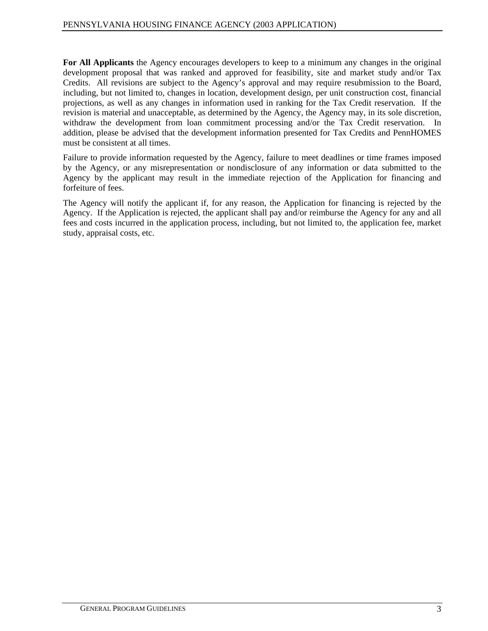**For All Applicants** the Agency encourages developers to keep to a minimum any changes in the original development proposal that was ranked and approved for feasibility, site and market study and/or Tax Credits. All revisions are subject to the Agency's approval and may require resubmission to the Board, including, but not limited to, changes in location, development design, per unit construction cost, financial projections, as well as any changes in information used in ranking for the Tax Credit reservation. If the revision is material and unacceptable, as determined by the Agency, the Agency may, in its sole discretion, withdraw the development from loan commitment processing and/or the Tax Credit reservation. In addition, please be advised that the development information presented for Tax Credits and PennHOMES must be consistent at all times.

Failure to provide information requested by the Agency, failure to meet deadlines or time frames imposed by the Agency, or any misrepresentation or nondisclosure of any information or data submitted to the Agency by the applicant may result in the immediate rejection of the Application for financing and forfeiture of fees.

The Agency will notify the applicant if, for any reason, the Application for financing is rejected by the Agency. If the Application is rejected, the applicant shall pay and/or reimburse the Agency for any and all fees and costs incurred in the application process, including, but not limited to, the application fee, market study, appraisal costs, etc.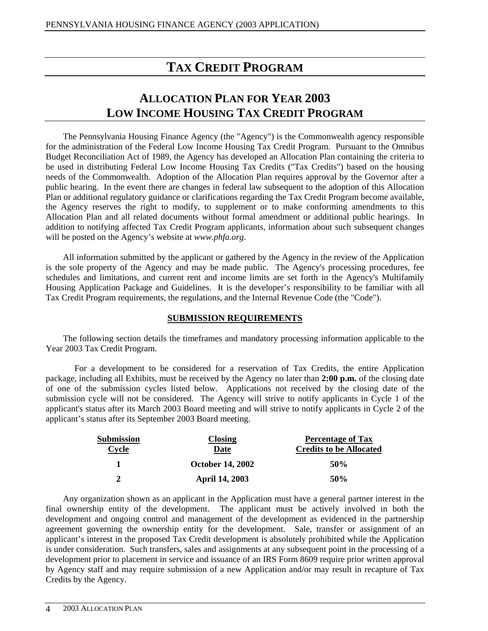#### **TAX CREDIT PROGRAM**

#### **ALLOCATION PLAN FOR YEAR 2003 LOW INCOME HOUSING TAX CREDIT PROGRAM**

The Pennsylvania Housing Finance Agency (the "Agency") is the Commonwealth agency responsible for the administration of the Federal Low Income Housing Tax Credit Program. Pursuant to the Omnibus Budget Reconciliation Act of 1989, the Agency has developed an Allocation Plan containing the criteria to be used in distributing Federal Low Income Housing Tax Credits ("Tax Credits") based on the housing needs of the Commonwealth. Adoption of the Allocation Plan requires approval by the Governor after a public hearing. In the event there are changes in federal law subsequent to the adoption of this Allocation Plan or additional regulatory guidance or clarifications regarding the Tax Credit Program become available, the Agency reserves the right to modify, to supplement or to makeconforming amendments to this Allocation Plan and all related documents without formal amendment or additional public hearings. In addition to notifying affected Tax Credit Program applicants, information about such subsequent changes will be posted on the Agency's website at *www.phfa.org*.

All information submitted by the applicant or gathered by the Agency in the review of the Application is the sole property of the Agency and may be made public. The Agency's processing procedures, fee schedules and limitations, and current rent and income limits are set forth in the Agency's Multifamily Housing Application Package and Guidelines. It is the developer's responsibility to be familiar with all Tax Credit Program requirements, the regulations, and the Internal Revenue Code (the "Code").

#### **SUBMISSION REQUIREMENTS**

The following section details the timeframes and mandatory processing information applicable to the Year 2003 Tax Credit Program.

For a development to be considered for a reservation of Tax Credits, the entire Application package, including all Exhibits, must be received by the Agency no later than **2:00 p.m.** of the closing date of one of the submission cycles listed below. Applications not received by the closing date of the submission cycle will not be considered. The Agency will strive to notify applicants in Cycle 1 of the applicant's status after its March 2003 Board meeting and will strive to notify applicants in Cycle 2 of the applicant's status after its September 2003 Board meeting.

| Suhmiccion   | Closin                  | rcentage of Tax                |
|--------------|-------------------------|--------------------------------|
| <b>Cycle</b> | <u>Date</u>             | <b>Credits to be Allocated</b> |
|              | <b>October 14, 2002</b> | 30/0                           |
|              | pril 14, 2003           | $\sim$ $\sim$ $\sim$<br>.      |

Any organization shown as an applicant in the Application must have a general partner interest in the final ownership entity of the development. The applicant must be actively involved in both the development and ongoing control and management of the development as evidenced in the partnership agreement governing the ownership entity for the development. Sale, transfer or assignment of an applicant's interest in the proposed Tax Credit development is absolutely prohibited while the Application is under consideration. Such transfers, sales and assignments at any subsequent point in the processing of a development prior to placement in service and issuance of an IRS Form 8609 require prior written approval by Agency staff and may require submission of a new Application and/or may result in recapture of Tax Credits by the Agency.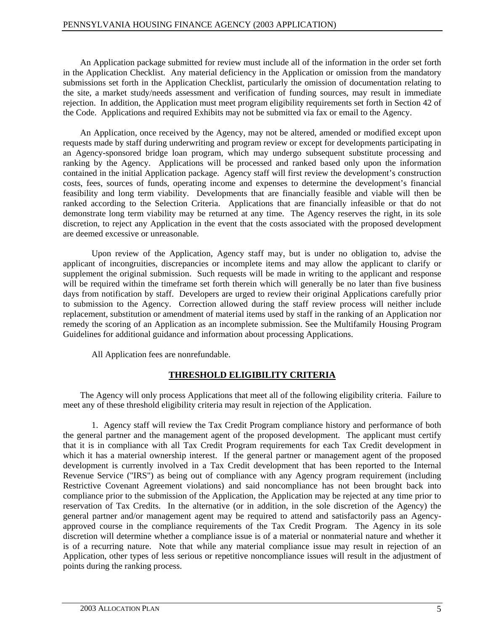An Application package submitted for review must include all of the information in the order set forth in the Application Checklist. Any material deficiency in the Application or omission from the mandatory submissions set forth in the Application Checklist, particularly the omission of documentation relating to the site, a market study/needs assessment and verification of funding sources, may result in immediate rejection. In addition, the Application must meet program eligibility requirements set forth in Section 42 of the Code. Applications and required Exhibits may not be submitted via fax or email to the Agency.

An Application, once received by the Agency, may not be altered, amended or modified except upon requests made by staff during underwriting and program review or except for developments participating in an Agency-sponsored bridge loan program, which may undergo subsequent substitute processing and ranking by the Agency. Applications will be processed and ranked based only upon the information contained in the initial Application package. Agency staff will first review the development's construction costs, fees, sources of funds, operating income and expenses to determine the development's financial feasibility and long term viability. Developments that are financially feasible and viable will then be ranked according to the Selection Criteria. Applications that are financially infeasible or that do not demonstrate long term viability may be returned at any time. The Agency reserves the right, in its sole discretion, to reject any Application in the event that the costs associated with the proposed development are deemed excessive or unreasonable.

Upon review of the Application, Agency staff may, but is under no obligation to, advise the applicant of incongruities, discrepancies or incomplete items and may allow the applicant to clarify or supplement the original submission. Such requests will be made in writing to the applicant and response will be required within the timeframe set forth therein which will generally be no later than five business days from notification by staff. Developers are urged to review their original Applications carefully prior to submission to the Agency. Correction allowed during the staff review process will neither include replacement, substitution or amendment of material items used by staff in the ranking of an Application nor remedy the scoring of an Application as an incomplete submission. See the Multifamily Housing Program Guidelines for additional guidance and information about processing Applications.

All Application fees are nonrefundable.

#### **THRESHOLD ELIGIBILITY CRITERIA**

The Agency will only process Applications that meet all of the following eligibility criteria. Failure to meet any of these threshold eligibility criteria may result in rejection of the Application.

1. Agency staff will review the Tax Credit Program compliance history and performance of both the general partner and the management agent of the proposed development. The applicant must certify that it is in compliance with all Tax Credit Program requirements for each Tax Credit development in which it has a material ownership interest. If the general partner or management agent of the proposed development is currently involved in a Tax Credit development that has been reported to the Internal Revenue Service ("IRS") as being out of compliance with any Agency program requirement (including Restrictive Covenant Agreement violations) and said noncompliance has not been brought back into compliance prior to the submission of the Application, the Application may be rejected at any time prior to reservation of Tax Credits. In the alternative (or in addition, in the sole discretion of the Agency) the general partner and/or management agent may be required to attend and satisfactorily pass an Agency approved course in the compliance requirements of the Tax Credit Program. The Agency in its sole discretion will determine whether a compliance issue is of a material or nonmaterial nature and whether it is of a recurring nature. Note that while any material compliance issue may result in rejection of an Application, other types of less serious or repetitive noncompliance issues will result in the adjustment of points during the ranking process.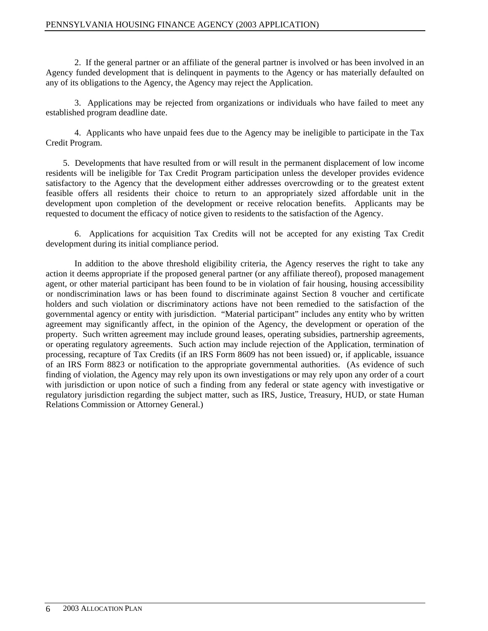2. If the general partner or an affiliate of the general partner is involved or has been involved in an Agency funded development that is delinquent in payments to the Agency or has materially defaulted on any of its obligations to the Agency, the Agency may reject the Application.

3. Applications may be rejected from organizations or individuals who have failed to meet any established program deadline date.

4. Applicants who have unpaid fees due to the Agency may be ineligible to participate in the Tax Credit Program.

5. Developments that have resulted from or will result in thepermanent displacement of low income residents will be ineligible for Tax Credit Program participation unless the developer provides evidence satisfactory to the Agency that the development either addresses overcrowding or to the greatest extent feasible offers all residents their choice to return to an appropriately sized affordable unit in the development upon completion of the development or receive relocation benefits. Applicants may be requested to document the efficacy of notice given to residents to the satisfaction of the Agency.

6. Applications for acquisition Tax Credits will not be accepted for any existing Tax Credit development during its initial compliance period.

In addition to the above threshold eligibility criteria, the Agency reserves the right to take any action it deems appropriate if the proposed general partner (or any affiliate thereof), proposed management agent, or other material participant has been found to be in violation of fair housing, housing accessibility or nondiscrimination laws or has been found to discriminate against Section 8 voucher and certificate holders and such violation or discriminatory actions have not been remedied to the satisfaction of the governmental agency or entity with jurisdiction. "Material participant" includes any entity who by written agreement may significantly affect, in the opinion of the Agency, the development or operation of the property. Such written agreement may include ground leases, operating subsidies, partnership agreements, or operating regulatory agreements. Such action may include rejection of the Application, termination of processing, recapture of Tax Credits (if an IRS Form 8609 has not been issued) or, if applicable, issuance of an IRS Form 8823 or notification to the appropriate governmental authorities. (As evidence of such finding of violation, the Agency may rely upon its own investigations or may rely upon any order of a court with jurisdiction or upon notice of such a finding from any federal or state agency with investigative or regulatory jurisdiction regarding the subject matter, such as IRS, Justice, Treasury, HUD, or state Human Relations Commission or Attorney General.)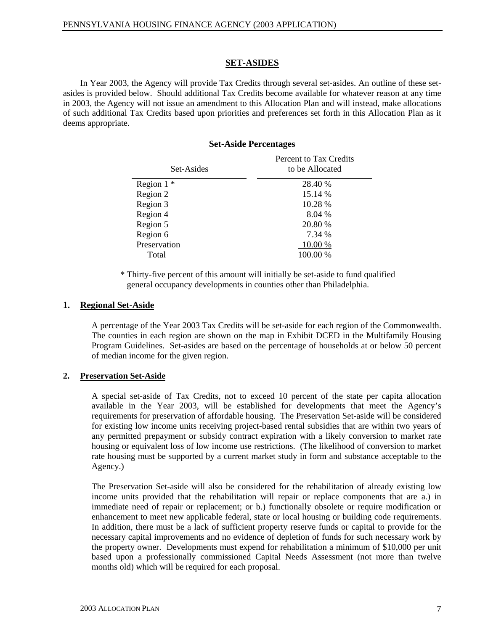#### **SET-ASIDES**

In Year 2003, the Agency will provide Tax Credits through several set-asides. An outline of these set asides is provided below. Should additional Tax Credits become available for whatever reason at any time in 2003, the Agency will not issue an amendment to this Allocation Plan and will instead, make allocations of such additional Tax Credits based upon priorities and preferences set forth in this Allocation Plan as it deems appropriate.

#### **Set-Aside Percentages**

|                                                                                                 | Percent to Tax Credits |
|-------------------------------------------------------------------------------------------------|------------------------|
| Set-Asides                                                                                      | to be Allocated        |
| Region 1 *<br>Region 2<br>Region 3<br>Region 4<br>Region 5<br>Region 6<br>Preservation<br>Total | $28.40 \%$             |
|                                                                                                 | 15.14 %                |
|                                                                                                 | $10.28~\%$             |
|                                                                                                 | 8.04 %                 |
|                                                                                                 | 20.80 %                |
|                                                                                                 | 7.34 %                 |
|                                                                                                 | 10.00 %                |
|                                                                                                 | $100.00~\%$            |

\* Thirty-five percent of this amount will initially be set-aside to fund qualified general occupancy developments in counties other than Philadelphia.

#### **1. Regional Set-Aside**

A percentage of the Year 2003 Tax Credits will be set-aside for each region of the Commonwealth. The counties in each region are shown on the map in Exhibit DCED in the Multifamily Housing Program Guidelines. Set-asides are based on the percentage of households at or below 50 percent of median income for the given region.

#### **2. Preservation Set-Aside**

A special set-aside of Tax Credits, not to exceed 10 percent of the state per capita allocation available in the Year 2003, will be established for developments that meet the Agency's requirements for preservation of affordable housing. The Preservation Set-aside will be considered for existing low income units receiving project-based rental subsidies that are within two years of any permitted prepayment or subsidy contract expiration with a likely conversion to market rate housing or equivalent loss of low income use restrictions. (The likelihood of conversion to market rate housing must be supported by a current market study in form and substance acceptable to the Agency.)

The Preservation Set-aside will also be considered for the rehabilitation of already existing low income units provided that the rehabilitation will repair or replace components that are a.) in immediate need of repair or replacement; or b.) functionally obsolete or require modification or enhancement to meet new applicable federal, state or local housing or building code requirements. In addition, there must be a lack of sufficient property reserve funds or capital to provide for the necessary capital improvements and no evidence of depletion of funds for such necessary work by the property owner. Developments must expend for rehabilitation a minimum of \$10,000 per unit based upon a professionally commissioned Capital Needs Assessment (not more than twelve months old) which will be required for each proposal.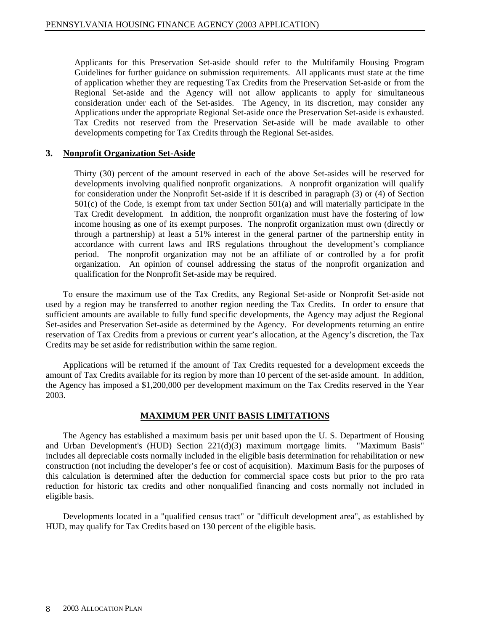Applicants for this Preservation Set-aside should refer to the Multifamily Housing Program Guidelines for further guidance on submission requirements. All applicants must state at the time of application whether they are requesting Tax Credits from the Preservation Set-aside or from the Regional Set-aside and the Agency will not allow applicants to apply for simultaneous consideration under each of the Set-asides. The Agency, in its discretion, may consider any Applications under the appropriate Regional Set-aside once the Preservation Set-aside is exhausted. Tax Credits not reserved from the Preservation Set-aside will be made available to other developments competing for Tax Credits through the Regional Set-asides.

#### **3. Nonprofit Organization Set-Aside**

Thirty (30) percent of the amount reserved in each of the above Set-asides will be reserved for developments involving qualified nonprofit organizations. A nonprofit organization will qualify for consideration under the Nonprofit Set-aside if it is described in paragraph (3) or (4) of Section 501(c) of the Code, is exempt from tax under Section 501(a) and will materially participate in the Tax Credit development. In addition, the nonprofit organization must have the fostering of low income housing as one of its exempt purposes. The nonprofit organization must own (directly or through a partnership) at least a 51% interest in the general partner of the partnership entity in accordance with current laws and IRS regulations throughout the development's compliance period. The nonprofit organization may not be an affiliate of or controlled by a for profit organization. An opinion of counsel addressing the status of the nonprofit organization and qualification for the Nonprofit Set-aside may be required.

To ensure the maximum use of the Tax Credits, any Regional Set-aside or Nonprofit Set-aside not used by a region may be transferred to another region needing the Tax Credits. In order to ensure that sufficient amounts are available to fully fund specific developments, the Agency may adjust the Regional Set-asides and Preservation Set-aside as determined by the Agency. For developments returning an entire reservation of Tax Credits from a previous or current year's allocation, at the Agency's discretion, the Tax Credits may be set aside for redistribution within the same region.

Applications will be returned if the amount of Tax Credits requested for a development exceeds the amount of Tax Credits available for its region by more than 10 percent of the set-aside amount. In addition, the Agency has imposed a \$1,200,000 per development maximum on the Tax Credits reserved in the Year 2003.

#### **MAXIMUM PER UNIT BASIS LIMITATIONS**

The Agency has established a maximum basis per unit based upon the U. S. Department of Housing and Urban Development's (HUD) Section 221(d)(3) maximum mortgage limits. "Maximum Basis" includes all depreciable costs normally included in the eligible basis determination for rehabilitation or new construction (not including the developer's fee or cost of acquisition). Maximum Basis for the purposes of this calculation is determined after the deduction for commercial space costs but prior to the pro rata reduction for historic tax credits and other nonqualified financing and costs normally not included in eligible basis.

Developments located in a "qualified census tract" or "difficult development area", as established by HUD, may qualify for Tax Credits based on 130 percent of the eligible basis.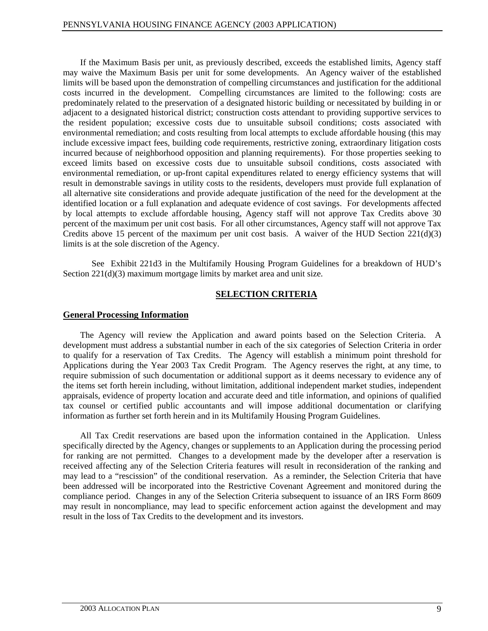If the Maximum Basis per unit, as previously described, exceeds the established limits, Agency staff may waive the Maximum Basis per unit for some developments. An Agency waiver of the established limits will be based upon the demonstration of compelling circumstances and justification for the additional costs incurred in the development. Compelling circumstances are limited to the following: costs are predominately related to the preservation of a designated historic building or necessitated by building in or adjacent to a designated historical district; construction costs attendant to providing supportive services to the resident population; excessive costs due to unsuitable subsoil conditions; costs associated with environmental remediation; and costs resulting from local attempts to exclude affordable housing (this may include excessive impact fees, building code requirements, restrictive zoning, extraordinary litigation costs incurred because of neighborhood opposition and planning requirements). For those properties seeking to exceed limits based on excessive costs due to unsuitable subsoil conditions, costs associated with environmental remediation, or up-front capital expenditures related to energy efficiency systems that will result in demonstrable savings in utility costs to the residents, developers must provide full explanation of all alternative site considerations and provide adequate justification of the need for the development at the identified location or a full explanation and adequate evidence of cost savings. For developments affected by local attempts to exclude affordable housing, Agency staff will not approve Tax Credits above 30 percent of the maximum per unit cost basis. For all other circumstances, Agency staff will not approve Tax Credits above 15 percent of the maximum per unit cost basis. A waiver of the HUD Section  $221(d)(3)$ limits is at the sole discretion of the Agency.

See Exhibit 221d3 in the Multifamily Housing Program Guidelines for a breakdown of HUD's Section 221(d)(3) maximum mortgage limits by market area and unit size.

#### **SELECTION CRITERIA**

#### **General Processing Information**

The Agency will review the Application and award points based on the Selection Criteria. A development must address a substantial number in each of the six categories of Selection Criteria in order to qualify for a reservation of Tax Credits. The Agency will establish a minimum point threshold for Applications during the Year 2003 Tax Credit Program. The Agency reserves the right, at any time, to require submission of such documentation or additional support as it deems necessary to evidence any of the items set forth herein including, without limitation, additional independent market studies, independent appraisals, evidence of property location and accurate deed and title information, and opinions of qualified tax counsel or certified public accountants and will impose additional documentation or clarifying information as further set forth herein and in its Multifamily Housing Program Guidelines.

All Tax Credit reservations are based upon the information contained in the Application. Unless specifically directed by the Agency, changes or supplements to an Application during the processing period for ranking are not permitted. Changes to a development made by the developer after a reservation is received affecting any of the Selection Criteria features will result in reconsideration of the ranking and may lead to a "rescission" of the conditional reservation. As a reminder, the Selection Criteria that have been addressed will be incorporated into the Restrictive Covenant Agreement and monitored during the compliance period. Changes in any of the Selection Criteria subsequent to issuance of an IRS Form 8609 may result in noncompliance, may lead to specific enforcement action against the development and may result in the loss of Tax Credits to the development and its investors.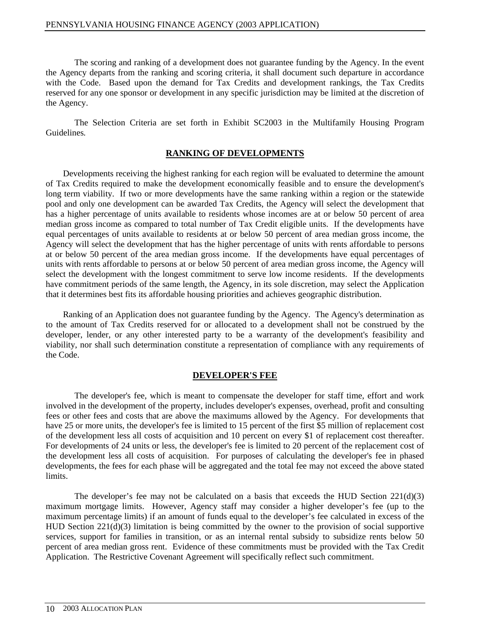The scoring and ranking of a development does not guarantee funding by the Agency. In the event the Agency departs from the ranking and scoring criteria, it shall document such departure in accordance with the Code. Based upon the demand for Tax Credits and development rankings, the Tax Credits reserved for any one sponsor or development in any specific jurisdiction may be limited at the discretion of the Agency.

The Selection Criteria are set forth in Exhibit SC2003 in the Multifamily Housing Program Guidelines*.*

#### **RANKING OF DEVELOPMENTS**

Developments receiving the highest ranking for each region will be evaluated to determine the amount of Tax Credits required to make the development economically feasible and to ensure the development's long term viability. If two or more developments have the same ranking within a region or the statewide pool and only one development can be awarded Tax Credits, the Agency will select the development that has a higher percentage of units available to residents whose incomes are at or below 50 percent of area median gross income as compared to total number of Tax Credit eligible units. If the developments have equal percentages of units available to residents at or below 50 percent of area median gross income, the Agency will select the development that has the higher percentage of units with rents affordable to persons at or below 50 percent of the area median gross income. If the developments have equal percentages of units with rents affordable to persons at or below 50 percent of area median gross income, the Agency will select the development with the longest commitment to serve low income residents. If the developments have commitment periods of the same length, the Agency, in its sole discretion, may select the Application that it determines best fits its affordable housing priorities and achieves geographic distribution.

Ranking of an Application does not guarantee funding by the Agency. The Agency's determination as to the amount of Tax Credits reserved for or allocated to a development shall not be construed by the developer, lender, or any other interested party to be a warranty of the development's feasibility and viability, nor shall such determination constitute a representation of compliance with any requirements of the Code.

#### **DEVELOPER'S FEE**

The developer's fee, which is meant to compensate the developer for staff time, effort and work involved in the development of the property, includes developer's expenses, overhead, profit and consulting fees or other fees and costs that are above the maximums allowed by the Agency. For developments that have 25 or more units, the developer's fee is limited to 15 percent of the first \$5 million of replacement cost of the development less all costs of acquisition and 10 percent on every \$1 of replacement cost thereafter. For developments of 24 units or less, the developer's fee is limited to 20 percent of the replacement cost of the development less all costs of acquisition. For purposes of calculating the developer's fee in phased developments, the fees for each phase will be aggregated and the total fee may not exceed the above stated limits.

The developer's fee may not be calculated on a basis that exceeds the HUD Section  $221(d)(3)$ maximum mortgage limits. However, Agency staff may consider a higher developer's fee (up to the maximum percentage limits) if an amount of funds equal to the developer's fee calculated in excess of the HUD Section 221(d)(3) limitation is being committed by the owner to the provision of social supportive services, support for families in transition, or as an internal rental subsidy to subsidize rents below 50 percent of area median gross rent. Evidence of these commitments must be provided with the Tax Credit Application. The Restrictive Covenant Agreement will specifically reflect such commitment.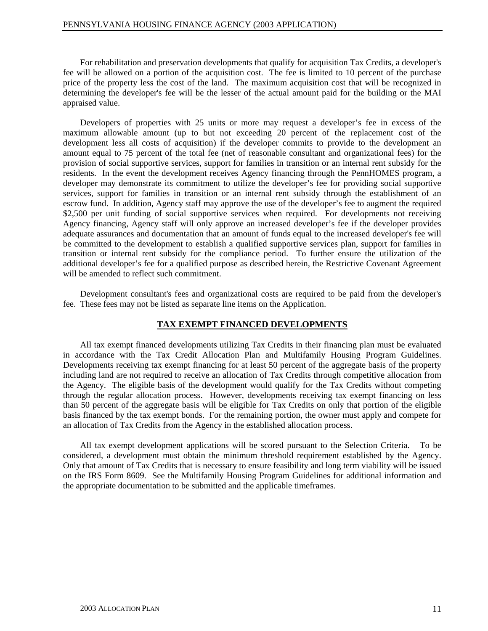For rehabilitation and preservation developments that qualify for acquisition Tax Credits, a developer's fee will be allowed on a portion of the acquisition cost. The fee is limited to 10 percent of the purchase price of the property less the cost of the land. The maximum acquisition cost that will be recognized in determining the developer's fee will be the lesser of the actual amount paid for the building or the MAI appraised value.

Developers of properties with 25 units or more may request a developer's fee in excess of the maximum allowable amount (up to but not exceeding 20 percent of the replacement cost of the development less all costs of acquisition) if the developer commits to provide to the development an amount equal to 75 percent of the total fee (net of reasonable consultant and organizational fees) for the provision of social supportive services, support for families in transition or an internal rent subsidy for the residents. In the event the development receives Agency financing through the PennHOMES program, a developer may demonstrate its commitment to utilize the developer's fee for providing social supportive services, support for families in transition or an internal rent subsidy through the establishment of an escrow fund. In addition, Agency staff may approve the use of the developer's fee to augment the required \$2,500 per unit funding of social supportive services when required. For developments not receiving Agency financing, Agency staff will only approve an increased developer's fee if the developer provides adequate assurances and documentation that an amount of funds equal to the increased developer's fee will be committed to the development to establish a qualified supportive services plan, support for families in transition or internal rent subsidy for the compliance period. To further ensure the utilization of the additional developer's fee for a qualified purpose as described herein, the Restrictive Covenant Agreement will be amended to reflect such commitment.

Development consultant's fees and organizational costs are required to be paid from the developer's fee. These fees may not be listed as separate line items on the Application.

#### **TAX EXEMPT FINANCED DEVELOPMENTS**

All tax exempt financed developments utilizing Tax Credits in their financing plan must be evaluated in accordance with the Tax Credit Allocation Plan and Multifamily Housing Program Guidelines. Developments receiving tax exempt financing for at least 50 percent of the aggregate basis of the property including land are not required to receive an allocation of Tax Credits through competitive allocation from the Agency. The eligible basis of the development would qualify for the Tax Credits without competing through the regular allocation process. However, developments receiving tax exempt financing on less than 50 percent of the aggregate basis will be eligible for Tax Credits on only that portion of the eligible basis financed by the tax exempt bonds. For the remaining portion, the owner must apply and compete for an allocation of Tax Credits from the Agency in the established allocation process.

All tax exempt development applications will be scored pursuant to the Selection Criteria. To be considered, a development must obtain the minimum threshold requirement established by the Agency. Only that amount of Tax Credits that is necessary to ensure feasibility and long term viability will be issued on the IRS Form 8609. See the Multifamily Housing Program Guidelines foradditional information and the appropriate documentation to be submitted and the applicable timeframes.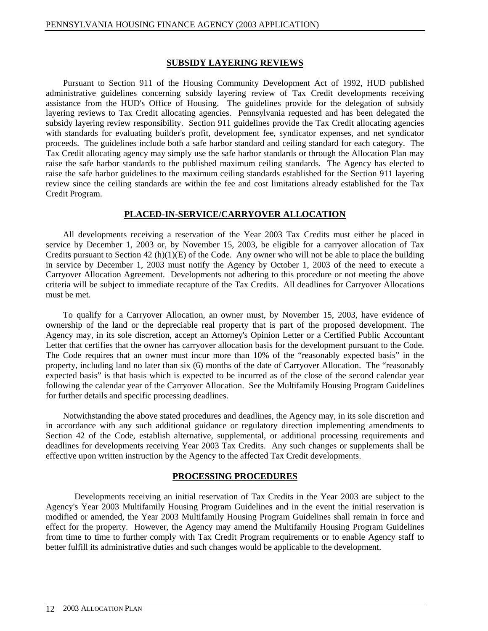#### **SUBSIDY LAYERING REVIEWS**

Pursuant to Section 911 of the Housing Community Development Act of 1992, HUD published administrative guidelines concerning subsidy layering review of Tax Credit developments receiving assistance from the HUD's Office of Housing. The guidelines provide for the delegation of subsidy layering reviews to Tax Credit allocating agencies. Pennsylvania requested and has been delegated the subsidy layering review responsibility. Section 911 guidelines provide the Tax Credit allocating agencies with standards for evaluating builder's profit, development fee, syndicator expenses, and net syndicator proceeds. The guidelines include both a safe harbor standard and ceiling standard for each category. The Tax Credit allocating agency may simply use the safe harbor standards or through the Allocation Plan may raise the safe harbor standards to the published maximum ceiling standards. The Agency has elected to raise the safe harbor guidelines to the maximum ceiling standards established for the Section 911 layering review since the ceiling standards are within the fee and cost limitations already established for the Tax Credit Program.

#### **PLACED-IN-SERVICE/CARRYOVER ALLOCATION**

All developments receiving a reservation of the Year 2003 Tax Credits must either be placed in service by December 1, 2003 or, by November 15, 2003, be eligible for a carryover allocation of Tax Credits pursuant to Section 42 (h)(1)(E) of the Code. Any owner who will not be able to place the building in service by December 1, 2003 must notify the Agency by October 1, 2003 of the need to execute a Carryover Allocation Agreement. Developments not adhering to this procedure or not meeting the above criteria will be subject to immediate recapture of the Tax Credits. All deadlines for Carryover Allocations must be met.

To qualify for a Carryover Allocation, an owner must, by November 15, 2003, have evidence of ownership of the land or the depreciable real property that is part of the proposed development. The Agency may, in its sole discretion, accept an Attorney's Opinion Letter or a Certified Public Accountant Letter that certifies that the owner has carryover allocation basis for the development pursuant to the Code. The Code requires that an owner must incur more than 10% of the "reasonably expected basis" in the property, including land no later than six (6) months of the date of Carryover Allocation. The "reasonably expected basis" is that basis which is expected to be incurred as of the close of the second calendar year following the calendar year of the Carryover Allocation. See the Multifamily Housing Program Guidelines for further details and specific processing deadlines.

Notwithstanding the above stated procedures and deadlines, the Agency may, in its sole discretion and in accordance with any such additional guidance or regulatory direction implementing amendments to Section 42 of the Code, establish alternative, supplemental, or additional processing requirements and deadlines for developments receiving Year 2003 Tax Credits. Any such changes or supplements shall be effective upon written instruction by the Agency to the affected Tax Credit developments.

#### **PROCESSING PROCEDURES**

Developments receiving an initial reservation of Tax Credits in the Year 2003 are subject to the Agency's Year 2003 Multifamily Housing Program Guidelines and in the event the initial reservation is modified or amended, the Year 2003 Multifamily Housing Program Guidelines shall remain in force and effect for the property. However, the Agency may amend the Multifamily Housing Program Guidelines from time to time to further comply with Tax Credit Program requirements or to enable Agency staff to better fulfill its administrative duties and such changes would be applicable to the development.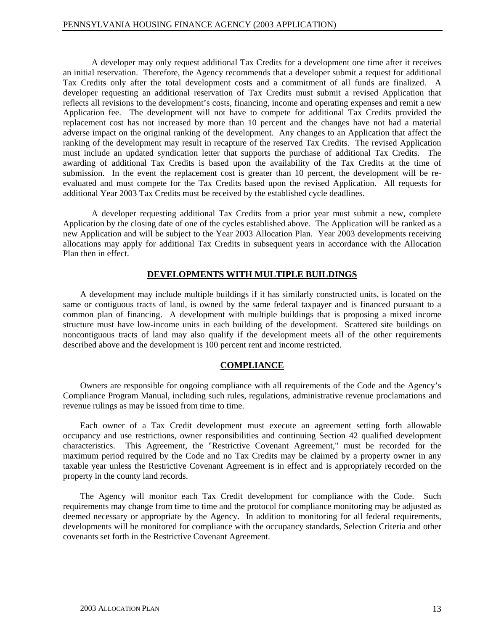A developer may only request additional Tax Credits for a development one time after it receives an initial reservation. Therefore, the Agency recommends that a developer submit a request for additional Tax Credits only after the total development costs and a commitment of all funds are finalized. A developer requesting an additional reservation of Tax Credits must submit a revised Application that reflects all revisions to the development's costs, financing, income and operating expenses and remit a new Application fee. The development will not have to compete for additional Tax Credits provided the replacement cost has not increased by more than 10 percent and the changes have not had a material adverse impact on the original ranking of the development. Any changes to an Application that affect the ranking of the development may result in recapture of the reserved Tax Credits. The revised Application must include an updated syndication letter that supports the purchase of additional Tax Credits. The awarding of additional Tax Credits is based upon the availability of the Tax Credits at the time of submission. In the event the replacement cost is greater than 10 percent, the development will be re evaluated and must compete for the Tax Credits based upon the revised Application. All requests for additional Year 2003 Tax Credits must be received by the established cycle deadlines.

A developer requesting additional Tax Credits from a prior year must submit a new, complete Application by the closing date of one of the cycles established above. The Application will be ranked as a new Application and will be subject to the Year 2003 Allocation Plan. Year 2003 developments receiving allocations may apply for additional Tax Credits in subsequent years in accordance with the Allocation Plan then in effect.

#### **DEVELOPMENTS WITH MULTIPLE BUILDINGS**

A development may include multiple buildings if it has similarly constructed units, is located on the same or contiguous tracts of land, is owned by the same federal taxpayer and is financed pursuant to a common plan of financing. A development with multiple buildings that is proposing a mixed income structure must have low-income units in each building of the development. Scattered site buildings on noncontiguous tracts of land may also qualify if the development meets all of the other requirements described above and the development is 100 percent rent and income restricted.

#### **COMPLIANCE**

Owners are responsible for ongoing compliance with all requirements of the Code and the Agency's Compliance Program Manual, including such rules, regulations, administrative revenue proclamations and revenue rulings as may be issued from time to time.

Each owner of a Tax Credit development must execute an agreement setting forth allowable occupancy and use restrictions, owner responsibilities and continuing Section 42 qualified development characteristics. This Agreement, the "Restrictive Covenant Agreement," must be recorded for the maximum period required by the Code and no Tax Credits may be claimed by a property owner in any taxable year unless the Restrictive Covenant Agreement is in effect and is appropriately recorded on the property in the county land records.

The Agency will monitor each Tax Credit development for compliance with the Code. Such requirements may change from time to time and the protocol for compliance monitoring may be adjusted as deemed necessary or appropriate by the Agency. In addition to monitoring for all federal requirements, developments will be monitored for compliance with the occupancy standards, Selection Criteria and other covenants set forth in the Restrictive Covenant Agreement.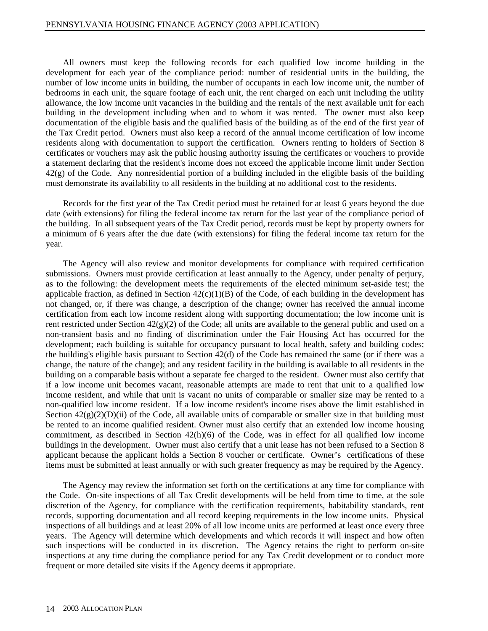All owners must keep the following records for each qualified low income building in the development for each year of the compliance period: number of residential units in the building, the number of low income units in building, the number of occupants in each low income unit, the number of bedrooms in each unit, the square footage of each unit, the rent charged on each unit including the utility allowance, the low income unit vacancies in the building and the rentals of the next available unit for each building in the development including when and to whom it was rented. The owner must also keep documentation of the eligible basis and the qualified basis of the building as of the end of the first year of the Tax Credit period. Owners must also keep a record of the annual income certification of low income residents along with documentation to support the certification. Owners renting to holders of Section 8 certificates or vouchers may ask the public housing authority issuing the certificates or vouchers to provide a statement declaring that the resident's income does not exceed the applicable income limit under Section 42(g) of the Code. Any nonresidential portion of a building included in the eligible basis of the building must demonstrate its availability to all residents in the building at no additional cost to the residents.

Records for the first year of the Tax Credit period must be retained for at least 6 years beyond the due date (with extensions) for filing the federal income tax return for the last year of the compliance period of the building. In all subsequent years of the Tax Credit period, records must be kept by property owners for a minimum of 6 years after the due date (with extensions) for filing the federal income tax return for the

year.<br>The Agency will also review and monitor developments for compliance with required certification submissions. Owners must provide certification at least annually to the Agency, under penalty of perjury, as to the following: the development meets the requirements of the elected minimum set-aside test; the applicable fraction, as defined in Section  $42(c)(1)(B)$  of the Code, of each building in the development has not changed, or, if there was change, a description of the change; owner has received the annual income certification from each low income resident along with supporting documentation; the low income unit is rent restricted under Section  $42(g)(2)$  of the Code; all units are available to the general public and used on a non-transient basis and no finding of discrimination under the Fair Housing Act has occurred for the development; each building is suitable for occupancy pursuant to local health, safety and building codes; the building's eligible basis pursuant to Section 42(d) of the Code has remained the same (or if there was a change, the nature of the change); and any resident facility in the building is available to all residents in the building on a comparable basis without a separate fee charged to the resident. Owner must also certify that if a low income unit becomes vacant, reasonable attempts are made to rent that unit to a qualified low income resident, and while that unit is vacant no units of comparable or smaller size may be rented to a non-qualified low income resident. If a low income resident's income rises above the limit established in Section  $42(g)(2)(D)(ii)$  of the Code, all available units of comparable or smaller size in that building must be rented to an income qualified resident. Owner must also certify that an extended low income housing commitment, as described in Section 42(h)(6) of the Code, was in effect for all qualified low income buildings in the development. Owner must also certify that a unit lease has not been refused to a Section 8 applicant because the applicant holds a Section 8 voucher or certificate. Owner's certifications of these items must be submitted at least annually or with such greater frequency as may be required by the Agency.

The Agency may review the information set forth on the certifications at any time for compliance with the Code. On-site inspections of all Tax Credit developments will be held from time to time, at the sole discretion of the Agency, for compliance with the certification requirements, habitability standards, rent records, supporting documentation and all record keeping requirements in the low income units. Physical inspections of all buildings and at least 20% of all low income units are performed at least once every three years. The Agency will determine which developments and which records it will inspect and how often such inspections will be conducted in its discretion. The Agency retains the right to perform on-site inspections at any time during the compliance period for any Tax Credit development or to conduct more frequent or more detailed site visits if the Agency deems it appropriate.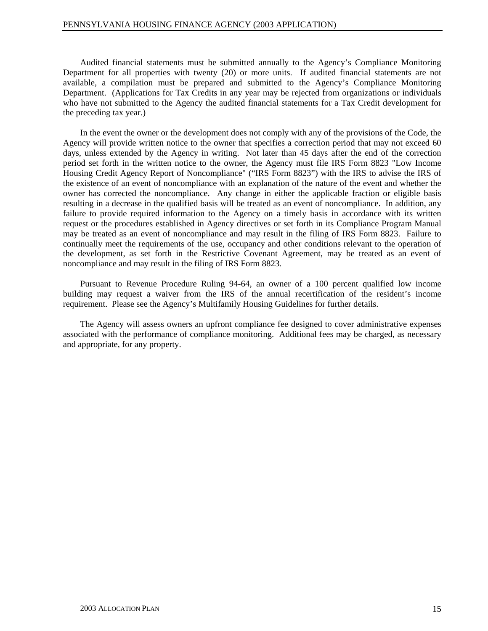Audited financial statements must be submitted annually to the Agency's Compliance Monitoring Department for all properties with twenty (20) or more units. If audited financial statements are not available, a compilation must be prepared and submitted to the Agency's Compliance Monitoring Department. (Applications for Tax Credits in any year may be rejected from organizations or individuals who have not submitted to the Agency the audited financial statements for a Tax Credit development for the preceding tax year.)

In the event the owner or the development does not comply with any of the provisions of the Code, the Agency will provide written notice to the owner that specifies a correction period that may not exceed 60 days, unless extended by the Agency in writing. Not later than 45 days after the end of the correction period set forth in the written notice to theowner, the Agency must file IRS Form 8823 "Low Income Housing Credit Agency Report of Noncompliance" ("IRS Form 8823") with the IRS to advise the IRS of the existence of an event of noncompliance with an explanation of the nature of the event and whether the owner has corrected the noncompliance. Any change in either the applicable fraction or eligible basis resulting in a decrease in the qualified basis will be treated as an event of noncompliance. In addition, any failure to provide required information to the Agency on a timely basis in accordance with its written request or the procedures established in Agency directives or set forth in its Compliance Program Manual may be treated as an event of noncompliance and may result in the filing of IRS Form 8823. Failure to continually meet the requirements of the use, occupancy and other conditions relevant to the operation of the development, as set forth in the Restrictive Covenant Agreement, may be treated as an event of noncompliance and may result in the filing of IRS Form 8823.

Pursuant to Revenue Procedure Ruling 94-64, an owner of a 100 percent qualified low income building may request a waiver from the IRS of the annual recertification of the resident's income requirement. Please see the Agency's Multifamily Housing Guidelines for further details.

The Agency will assess owners an upfront compliance fee designed to cover administrative expenses associated with the performance of compliance monitoring. Additional fees may be charged, as necessary and appropriate, for any property.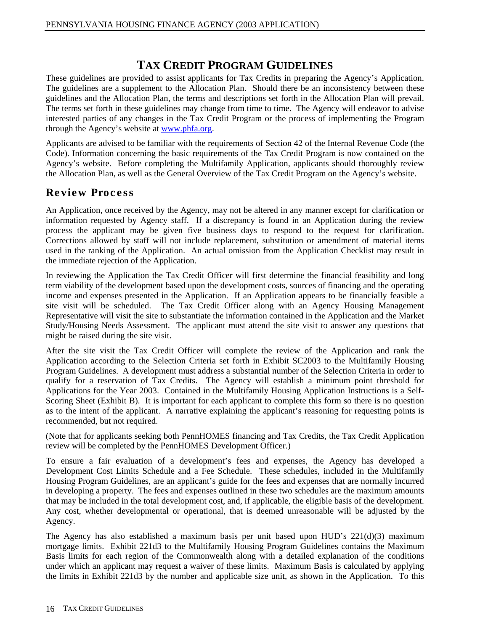#### **TAX CREDIT PROGRAM GUIDELINES**

These guidelines are provided to assist applicants for Tax Credits in preparing the Agency's Application. The guidelines are a supplement to the Allocation Plan. Should there be an inconsistency between these guidelines and the Allocation Plan, the terms and descriptions set forth in the Allocation Plan will prevail. The terms set forth in these guidelines may change from time to time. The Agency will endeavor to advise interested parties of any changes in the Tax Credit Program or the process of implementing the Program through the Agency's website at www.phfa.org.

Applicants are advised to be familiar with the requirements of Section 42 of the Internal Revenue Code (the Code). Information concerning the basic requirements of the Tax Credit Program is now contained on the Agency's website. Before completing the Multifamily Application, applicants should thoroughly review the Allocation Plan, as well as the General Overview of the Tax Credit Program on the Agency's website.

#### **Re view Proc e ss**

An Application, once received by the Agency, may not be altered in any manner except for clarification or information requested by Agency staff. If a discrepancy is found in an Application during the review process the applicant may be given five business days to respond to the request for clarification. Corrections allowed by staff will not include replacement, substitution or amendment of material items used in the ranking of the Application. An actual omission from the Application Checklist may result in the immediate rejection of the Application.

In reviewing the Application the Tax Credit Officer will first determine the financial feasibility and long term viability of the development based upon the development costs, sources of financing and the operating income and expenses presented in the Application. If an Application appears to be financially feasible a site visit will be scheduled. The Tax Credit Officer along with an Agency Housing Management Representative will visit the site to substantiate the information contained in the Application and the Market Study/Housing Needs Assessment. The applicant must attend the site visit to answer any questions that might be raised during the site visit.

After the site visit the Tax Credit Officer will complete the review of the Application and rank the Application according to the Selection Criteria set forth in Exhibit SC2003 to the Multifamily Housing Program Guidelines. A development must address a substantial number of the Selection Criteria in order to qualify for a reservation of Tax Credits. The Agency will establish a minimum point threshold for Applications for the Year 2003. Contained in the Multifamily Housing Application Instructions is a Self- Scoring Sheet (Exhibit B). It is important for each applicant to complete this form so there is no question as to the intent of the applicant. A narrative explaining the applicant's reasoning for requesting points is recommended, but not required.

(Note that for applicants seeking both PennHOMES financing and Tax Credits, the Tax Credit Application review will be completed by the PennHOMES Development Officer.)

To ensure a fair evaluation of a development's fees and expenses, the Agency has developed a Development Cost Limits Schedule and a Fee Schedule. These schedules, included in the Multifamily Housing Program Guidelines, are an applicant's guide for the fees and expenses that are normally incurred in developing a property. The fees and expenses outlined in these two schedules are the maximum amounts that may be included in the total development cost, and, if applicable, the eligible basis of the development. Any cost, whether developmental or operational, that is deemed unreasonable will be adjusted by the Agency.

The Agency has also established a maximum basis per unit based upon HUD's  $221(d)(3)$  maximum mortgage limits. Exhibit 221d3 to the Multifamily Housing Program Guidelines contains the Maximum Basis limits for each region of the Commonwealth along with a detailed explanation of the conditions under which an applicant may request a waiver of these limits. Maximum Basis is calculated by applying the limits in Exhibit 221d3 by the number and applicable size unit, as shown in the Application. To this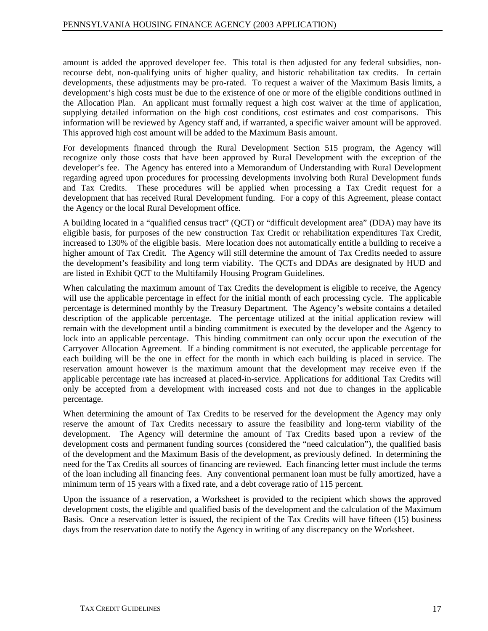amount is added the approved developer fee. This total is then adjusted for any federal subsidies, nonrecourse debt, non-qualifying units of higher quality, and historic rehabilitation tax credits. In certain developments, these adjustments may be pro-rated. To request a waiver of the Maximum Basis limits, a development's high costs must be due to the existence of one or more of the eligible conditions outlined in the Allocation Plan. An applicant must formally request a high cost waiver at the time of application, supplying detailed information on the high cost conditions, cost estimates and cost comparisons. This information will be reviewed by Agency staff and, if warranted, a specific waiver amount will be approved. This approved high cost amount will be added to the Maximum Basis amount.

For developments financed through the Rural Development Section 515 program, the Agency will recognize only those costs that have been approved by Rural Development with the exception of the developer's fee. The Agency has entered into a Memorandum of Understanding with Rural Development regarding agreed upon procedures for processing developments involving both Rural Development funds and Tax Credits. These procedures will be applied when processing a Tax Credit request for a development that has received Rural Development funding. For a copy of this Agreement, please contact the Agency or the local Rural Development office.

A building located in a "qualified census tract" (QCT) or "difficult development area" (DDA) may have its eligible basis, for purposes of the new construction Tax Credit or rehabilitation expenditures Tax Credit, increased to 130% of the eligible basis. Mere location does not automatically entitle a building to receive a higher amount of Tax Credit. The Agency will still determine the amount of Tax Credits needed to assure the development's feasibility and long term viability. TheQCTs and DDAs are designated by HUD and are listed in Exhibit QCT to the Multifamily Housing Program Guidelines.

When calculating the maximum amount of Tax Credits the development is eligible to receive, the Agency will use the applicable percentage in effect for the initial month of each processing cycle. The applicable percentage is determined monthly by the Treasury Department. The Agency's website contains a detailed description of the applicable percentage. The percentage utilized at the initial application review will remain with the development until a binding commitment is executed by the developer and the Agency to lock into an applicable percentage. This binding commitment can only occur upon the execution of the Carryover Allocation Agreement. If a binding commitment is not executed, the applicable percentage for each building will be the one in effect for the month in which each building is placed in service. The reservation amount however is the maximum amount that the development may receive even if the applicable percentage rate has increased at placed-in-service. Applications for additional Tax Credits will only be accepted from a development with increased costs and not due to changes in the applicable percentage.

When determining the amount of Tax Credits to be reserved for the development the Agency may only reserve the amount of Tax Credits necessary to assure the feasibility and long-term viability of the development. The Agency will determine the amount of Tax Credits based upon a review of the development costs and permanent funding sources (considered the "need calculation"), the qualified basis of the development and the Maximum Basis of the development, as previously defined. In determining the need for the Tax Credits all sources of financing are reviewed. Each financing letter must include the terms of the loan including all financing fees. Any conventional permanent loan must be fully amortized, have a minimum term of 15 years with a fixed rate, and a debt coverage ratio of 115 percent.

Upon the issuance of a reservation, a Worksheet is provided to the recipient which shows the approved development costs, the eligible and qualified basis of the development and the calculation of the Maximum Basis. Once a reservation letter is issued, the recipient of the Tax Credits will have fifteen (15) business days from the reservation date to notify the Agency in writing of any discrepancy on the Worksheet.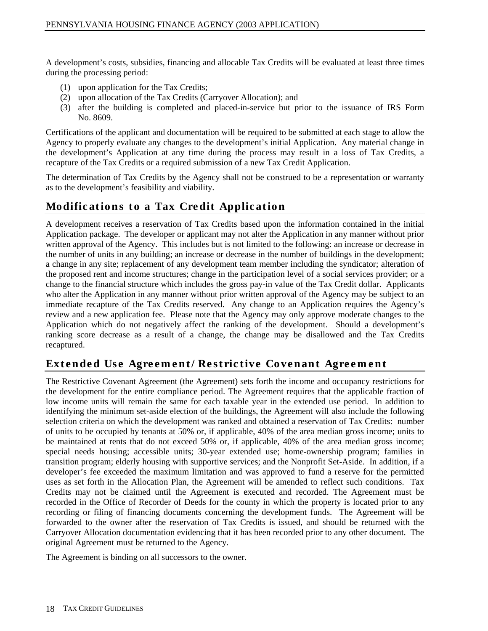A development's costs, subsidies, financing and allocable Tax Credits will be evaluated at least three times during the processing period:  $\frac{d}{dx}$  and  $\frac{d}{dx}$  are processing period:

- (1) upon application for the Tax Credits;
- (2) upon allocation of the Tax Credits (Carryover Allocation); and
- (3) after the building is completed and placed-in-service but prior to the issuance of IRS Form No. 8609.

Certifications of the applicant and documentation will be required to be submitted at each stage to allow the Agency to properly evaluate any changes to the development's initial Application. Any material change in the development's Application at any time during the process may result in a loss of Tax Credits, a

recapture of the Tax Credits or a required submission of a new Tax Credit Application.<br>The determination of Tax Credits by the Agency shall not be construed to be a representation or warranty as to the development's feasibility and viability.

#### **Modific ations t o a Tax CreditApplic ation**

A development receives a reservation of Tax Credits based upon the information contained in the initial Application package. The developer or applicant may not alter the Application in any manner without prior written approval of the Agency. This includes but is not limited to the following: an increase or decrease in the number of units in any building; an increase or decrease in the number of buildings in the development; a change in any site; replacement of any development team member including the syndicator; alteration of the proposed rent and income structures; change in the participation level of a social services provider; ora change to the financial structure which includes the gross pay-in value of the Tax Credit dollar. Applicants who alter the Application in any manner without prior written approval of the Agency may be subject to an immediate recapture of the Tax Credits reserved. Any change to an Application requires the Agency's review and a new application fee. Please note that the Agency may only approve moderate changes to the Application which do not negatively affect the ranking of the development. Should a development's ranking score decrease as a result of a change, the change may be disallowed and the Tax Credits recaptured.

#### **Ext ended Us e Agre em ent/ Re st ric tive Covenant Agre em ent**

The Restrictive Covenant Agreement (the Agreement) sets forth the income and occupancy restrictions for the development for the entire compliance period. The Agreement requires that the applicable fraction of low income units will remain the same for each taxable year in the extended use period. In addition to identifying the minimum set-aside election of the buildings, the Agreement will also include the following selection criteria on which the development was ranked and obtained a reservation of Tax Credits: number of units to be occupied by tenants at 50% or, if applicable, 40% of the area median gross income; units to be maintained at rents that do not exceed 50% or, if applicable, 40% of the area median gross income; special needs housing; accessible units; 30-year extended use; home-ownership program; families in transition program; elderly housing with supportive services; and the Nonprofit Set-Aside. In addition, if a developer's fee exceeded the maximum limitation and was approved to fund a reserve for the permitted uses as set forth in the Allocation Plan, the Agreement will be amended to reflect such conditions. Tax Credits may not be claimed until the Agreement is executed and recorded. The Agreement must be recorded in the Office of Recorder of Deeds for the county in which the property is located prior to any recording or filing of financing documents concerning the development funds. The Agreement will be forwarded to the owner after the reservation of Tax Credits is issued, and should be returned with the Carryover Allocation documentation evidencing that it has been recorded prior to any other document. The original Agreement must be returned to the Agency.

The Agreement is binding on all successors to the owner.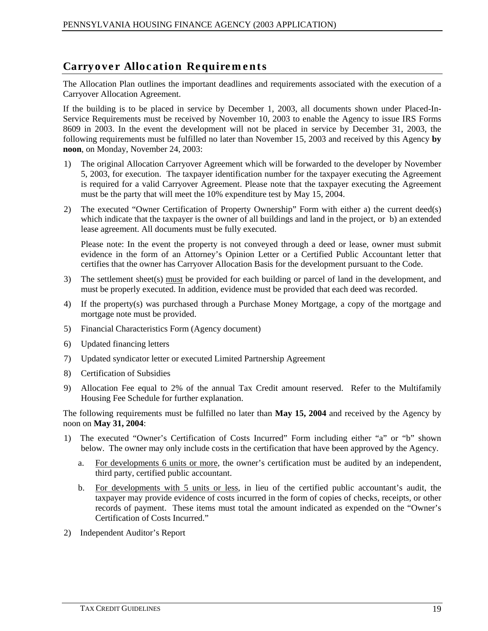#### **Carryove r Alloc ation Requirem ents**

The Allocation Plan outlines the important deadlines and requirements associated with the execution of a Carryover Allocation Agreement.

If the building is to be placed in service by December 1, 2003, all documents shown under Placed-In- Service Requirements must be received by November 10, 2003 to enable the Agency to issue IRS Forms 8609 in 2003. In the event the development will not be placed in service by December 31, 2003, the following requirements must be fulfilled no later than November 15, 2003 and received by this Agency **by noon**, on Monday, November 24, 2003:

- 1) The original Allocation Carryover Agreement which will be forwarded to the developer by November 5, 2003, for execution. The taxpayer identification number for the taxpayer executing the Agreement is required for a valid Carryover Agreement. Please note that the taxpayer executing the Agreement must be the party that will meet the 10% expenditure test by May 15, 2004.
- 2) The executed "Owner Certification of Property Ownership" Form with either a) the current deed(s) which indicate that the taxpayer is the owner of all buildings and land in the project, or b) an extended lease agreement. All documents must be fully executed.

Please note: In the event the property is not conveyed through a deed or lease, owner must submit evidence in the form of an Attorney's Opinion Letter or a Certified Public Accountant letter that certifies that the owner has Carryover Allocation Basis for the development pursuant to the Code.

- 3) The settlement sheet(s) must be provided for each building or parcel of land in the development, and must be properly executed. In addition, evidence must be provided that each deed was recorded.
- 4) If the property(s) was purchased through a Purchase Money Mortgage, a copy of themortgage and mortgage note must be provided.
- 5) Financial Characteristics Form (Agency document)
- 6) Updated financing letters
- 7) Updated syndicator letter or executed Limited Partnership Agreement
- 8) Certification of Subsidies
- 9) Allocation Fee equal to 2% of the annual Tax Credit amount reserved. Refer to the Multifamily Housing Fee Schedule for further explanation.

The following requirements must be fulfilled no later than **May 15, 2004** and received by the Agency by noon on **May 31, 2004**:

- 1) The executed "Owner's Certification of Costs Incurred" Form including either "a" or "b" shown below. The owner may only include costs in the certification that have been approved by the Agency.
	- a. For developments 6 units or more, the owner's certification must be audited by an independent, third party, certified public accountant.
	- b. For developments with 5 units or less, in lieu of the certified public accountant's audit, the taxpayer may provide evidence of costs incurred in the form of copies of checks, receipts, or other records of payment. These items must total the amount indicated as expended on the "Owner's Certification of Costs Incurred."
- 2) Independent Auditor's Report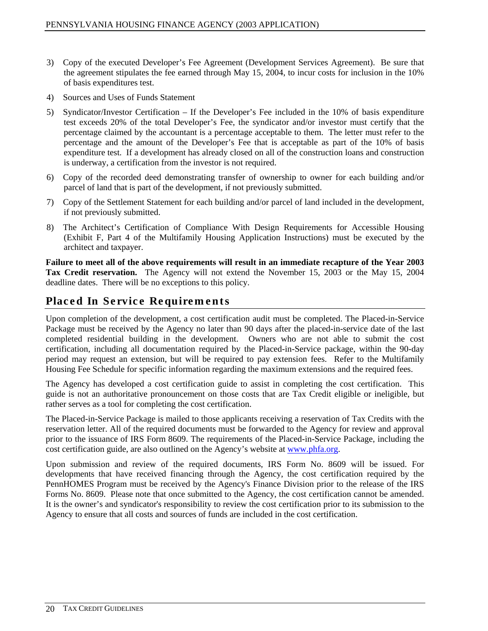- 3) Copy of the executed Developer's Fee Agreement (Development Services Agreement). Be sure that the agreement stipulates the fee earned through May 15, 2004, to incur costs for inclusion in the 10% of basis expenditures test.
- 4) Sources and Uses of Funds Statement
- 5) Syndicator/Investor Certification If the Developer's Fee included in the 10% of basis expenditure test exceeds 20% of the total Developer's Fee, the syndicator and/or investor must certify that the percentage claimed by the accountant is a percentage acceptable to them. The letter must refer to the percentage and the amount of the Developer's Fee that is acceptable as part of the 10% of basis expenditure test. If a development has already closed on all of the construction loans and construction is underway, a certification from the investor is not required.
- 6) Copy of the recorded deed demonstrating transfer of ownership to owner for each building and/or parcel of land that is part of the development, if not previously submitted.
- 7) Copy of the Settlement Statement for each building and/or parcel of land included in the development, if not previously submitted.
- 8) The Architect's Certification of Compliance With Design Requirements for Accessible Housing (Exhibit F, Part 4 of the Multifamily Housing Application Instructions) must be executed by the architect and taxpayer.

Failure to meet all of the above requirements will result in an immediate recapture of the Year 2003 **Tax Credit reservation.** The Agency will not extend the November 15, 2003 or the May 15, 2004 deadline dates. There will be no exceptions to this policy.

#### **Plac ed In Se rvic e Requirem ents**

Upon completion of the development, a cost certification audit must be completed. The Placed-in-Service Package must be received by the Agency no later than 90 days after the placed-in-service date of the last completed residential building in the development. Owners who are not able to submit the cost certification, including all documentation required by the Placed-in-Service package, within the 90-day period may request an extension, but will be required to pay extension fees. Refer to the Multifamily Housing Fee Schedule for specific information regarding the maximum extensions and the required fees.

The Agency has developed a cost certification guide to assist in completing the cost certification. This guide is not an authoritative pronouncement on those costs that are Tax Credit eligible or ineligible, but rather serves as a tool for completing the cost certification.

The Placed-in-Service Package is mailed to those applicants receiving a reservation of Tax Credits with the reservation letter. All of the required documents must be forwarded to the Agency for review and approval prior to the issuance of IRS Form 8609. The requirements of the Placed-in-Service Package, including the cost certification guide, are also outlined on the Agency's website at www.phfa.org.

Upon submission and review of the required documents, IRS Form No. 8609 will be issued. For developments that have received financing through the Agency, the cost certification required by the PennHOMES Program must be received by the Agency's Finance Division prior to the release of the IRS Forms No. 8609. Please note that once submitted to the Agency, the cost certification cannot be amended. It is the owner's and syndicator's responsibility to review the cost certification prior to its submission to the Agency to ensure that all costs and sources of funds are included in the cost certification.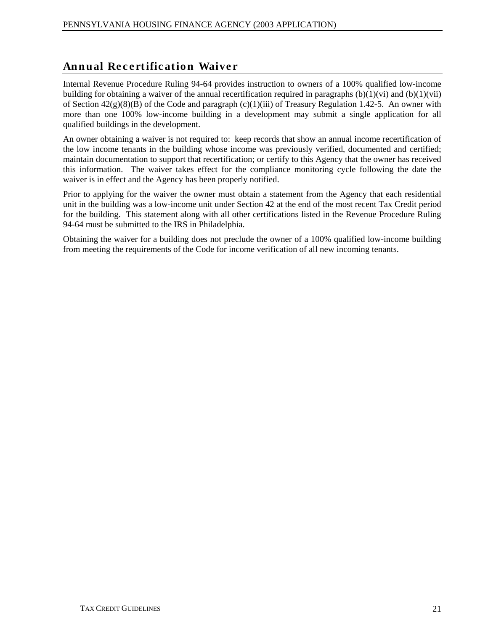#### **Annual Re c e rtific ation Waive r**

Internal Revenue Procedure Ruling 94-64 provides instruction to owners of a 100% qualified low-income building for obtaining a waiver of the annual recertification required in paragraphs (b)(1)(vi) and (b)(1)(vii) of Section  $42(g)(8)(B)$  of the Code and paragraph (c)(1)(iii) of Treasury Regulation 1.42-5. An owner with more than one 100% low-income building in a development may submit a single application for all qualified buildings in the development.

An owner obtaining a waiver is not required to: keep records that show an annual income recertification of the low income tenants in the building whose income was previously verified, documented and certified; maintain documentation to support that recertification; or certify to this Agency that the owner has received this information. The waiver takes effect for the compliance monitoring cycle following the date the waiver is in effect and the Agency has been properly notified.

Prior to applying for the waiver the owner must obtain a statement from the Agency that each residential unit in the building was a low-income unit under Section 42 at the end of the most recent Tax Credit period for the building. This statement along with all other certifications listed in the Revenue Procedure Ruling 94-64 must be submitted to the IRS in Philadelphia.

Obtaining the waiver for a building does not preclude the owner of a 100% qualified low-income building from meeting the requirements of the Code for income verification of all new incoming tenants.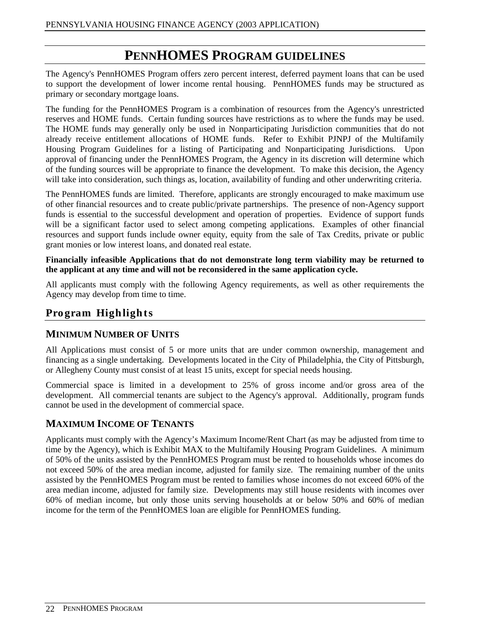#### **PENNHOMES PROGRAM GUIDELINES**

The Agency's PennHOMES Program offers zero percent interest, deferred payment loans that can be used to support the development of lower income rental housing. PennHOMES funds may be structured as primary or secondary mortgage loans.

The funding for the PennHOMES Program is a combination of resources from the Agency's unrestricted reserves and HOME funds. Certain funding sources have restrictions as to where the funds may be used. The HOME funds may generally only be used in Nonparticipating Jurisdiction communities that do not already receive entitlement allocations of HOME funds. Refer to Exhibit PJNPJ of the Multifamily Housing Program Guidelines for a listing of Participating and Nonparticipating Jurisdictions. Upon approval of financing under the PennHOMES Program, the Agency in its discretion will determine which of the funding sources will be appropriate to finance the development. To make this decision, the Agency will take into consideration, such things as, location, availability of funding and other underwriting criteria.

The PennHOMES funds are limited. Therefore, applicants are strongly encouraged to make maximum use of other financial resources and to create public/private partnerships. The presence of non-Agency support funds is essential to the successful development and operation of properties. Evidence of support funds will be a significant factor used to select among competing applications. Examples of other financial resources and support funds include owner equity, equity from the sale of Tax Credits, private or public grant monies or low interest loans, and donated real estate.

#### **Financially infeasible Applications that do not demonstrate long term viability may be returned to the applicant at any time and will not be reconsidered in the same application cycle.**

All applicants must comply with the following Agency requirements, as well as other requirements the Agency may develop from time to time.

#### **Program Highlights**

#### **MINIMUM NUMBER OF UNITS**

All Applications must consist of 5 or more units that are under common ownership, management and financing as a single undertaking. Developments located in the City of Philadelphia, the City of Pittsburgh, or Allegheny County must consist of at least 15 units, except for special needs housing.

Commercial space is limited in a development to 25% of gross income and/or gross area of the development. All commercial tenants are subject to the Agency's approval. Additionally, program funds cannot be used in the development of commercial space.

#### **MAXIMUM INCOME OF TENANTS**

Applicants must comply with the Agency's Maximum Income/Rent Chart (as may be adjusted from time to time by the Agency), which is Exhibit MAX to the Multifamily Housing Program Guidelines. A minimum of 50% of the units assisted by the PennHOMES Program must be rented to households whose incomes do not exceed 50% of the area median income, adjusted for family size. The remaining number of the units assisted by the PennHOMES Program must be rented to families whose incomes do not exceed 60% of the area median income, adjusted for family size. Developments may still house residents with incomes over 60% of median income, but only those units serving householdsat or below 50% and 60% of median income for the term of the PennHOMES loan are eligible for PennHOMES funding.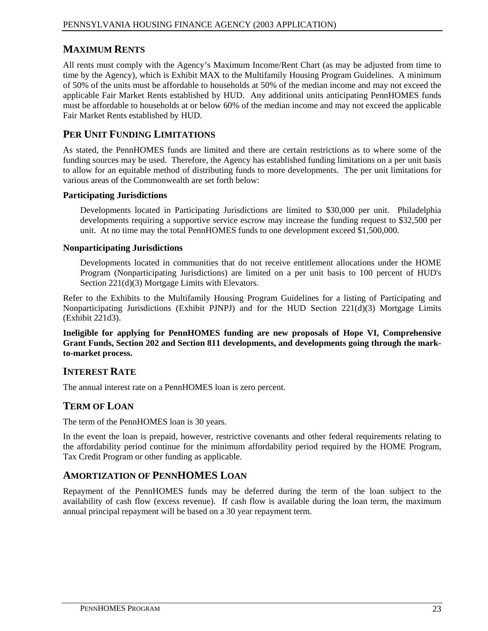#### **MAXIMUM RENTS**

All rents must comply with the Agency's Maximum Income/Rent Chart (as may be adjusted from time to time by the Agency), which is Exhibit MAX to the Multifamily Housing Program Guidelines. A minimum of 50% of the units must be affordable to householdsat 50% of the median income and may not exceed the applicable Fair Market Rents established by HUD. Any additional units anticipating PennHOMES funds must be affordable to households at or below 60% of the median income and may not exceed the applicable Fair Market Rents established by HUD.

#### **PER UNIT FUNDING LIMITATIONS**

As stated, the PennHOMES funds are limited and there are certain restrictions as to where some of the funding sources may be used. Therefore, the Agency has established funding limitations on a per unit basis to allow for an equitable method of distributing funds to more developments. The per unit limitations for various areas of the Commonwealth are set forth below:

#### **Participating Jurisdictions**

Developments located in Participating Jurisdictions are limited to \$30,000 per unit. Philadelphia developments requiring a supportive service escrow may increase the funding request to \$32,500 per unit. At no time may the total PennHOMES funds to one development exceed \$1,500,000.

#### **Nonparticipating Jurisdictions**

Developments located in communities that do not receive entitlement allocations under the HOME Program (Nonparticipating Jurisdictions) are limited on a per unit basis to 100 percent of HUD's Section 221(d)(3) Mortgage Limits with Elevators.

Refer to the Exhibits to the Multifamily Housing Program Guidelines for a listing of Participating and Nonparticipating Jurisdictions (Exhibit PJNPJ) and for the HUD Section 221(d)(3) Mortgage Limits (Exhibit 221d3).

**Ineligible for applying for PennHOMES funding are new proposals of Hope VI, Comprehensive Grant Funds, Section 202 and Section 811 developments, and developments going through the markto-market process.**

#### **INTEREST RATE**

The annual interest rate on a PennHOMES loan is zero percent.

#### **TERM OF LOAN**

The term of the PennHOMES loan is 30 years.

In the event the loan is prepaid, however, restrictive covenants and other federal requirements relating to the affordability period continue for the minimum affordability period required by the HOME Program, Tax Credit Program or other funding as applicable.

#### **AMORTIZATION OF PENNHOMES LOAN**

Repayment of the PennHOMES funds may be deferred during the term of the loan subject to the availability of cash flow (excess revenue). If cash flow is available during the loan term, the maximum annual principal repayment will be based on a 30 year repayment term.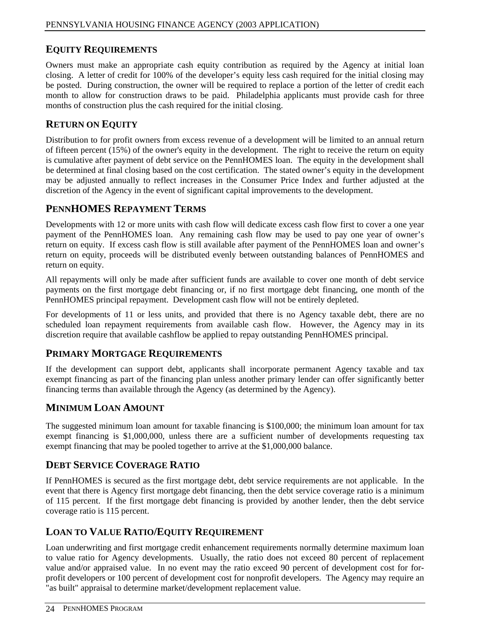#### **EQUITY REQUIREMENTS**

Owners must make an appropriate cash equity contribution as required by the Agency at initial loan closing. A letter of credit for 100% of the developer's equity less cash required for the initial closing may be posted. During construction, the owner will be required to replace a portion of the letter of credit each month to allow for construction draws to be paid. Philadelphia applicants must provide cash for three months of construction plus the cash required for the initial closing.

#### **RETURN ON EQUITY**

Distribution to for profit owners from excess revenue of a development will be limited to an annual return of fifteen percent (15%) of the owner's equity in the development. The right to receive the return on equity is cumulative after payment of debt service on the PennHOMES loan. The equity in the development shall be determined at final closing based on the cost certification. The stated owner'sequity in the development may be adjusted annually to reflect increases in the Consumer Price Index and further adjusted at the discretion of the Agency in the event of significant capital improvements to the development.

#### **PENNHOMES REPAYMENT TERMS**

Developments with 12 or more units with cash flow will dedicate excess cash flow first to covera one year payment of the PennHOMES loan. Any remaining cash flow may be used to pay one year of owner's return on equity. If excess cash flow is still available after payment of the PennHOMES loan and owner's return on equity, proceeds will be distributed evenly between outstanding balances of PennHOMES and return on equity.

All repayments will only be made after sufficient funds are available to cover one month of debt service payments on the first mortgage debt financing or, if no first mortgage debt financing, one month of the PennHOMES principal repayment. Development cash flow will not be entirely depleted.

For developments of 11 or less units, and provided that there is no Agency taxable debt, there are no scheduled loan repayment requirements from available cash flow. However, the Agency may in its discretion require that available cashflow be applied to repay outstanding PennHOMES principal.

#### **PRIMARY MORTGAGE REQUIREMENTS**

If the development can support debt, applicants shall incorporate permanent Agency taxable and tax exempt financing as part of the financing plan unless another primary lender can offer significantly better financing terms than available through the Agency (as determined by the Agency).

#### **MINIMUM LOAN AMOUNT**

The suggested minimum loan amount for taxable financing is \$100,000; the minimum loan amount for tax exempt financing is \$1,000,000, unless there are a sufficient number of developments requesting tax exempt financing that may be pooled together to arrive at the \$1,000,000 balance.

#### **DEBT SERVICE COVERAGE RATIO**

If PennHOMES is secured as the first mortgage debt, debt service requirements are not applicable. In the event that there is Agency first mortgage debt financing, then the debt service coverage ratio is a minimum of 115 percent. If the first mortgage debt financing is provided by another lender, then the debt service coverage ratio is 115 percent.

#### **LOAN TO VALUE RATIO/EQUITY REQUIREMENT**

Loan underwriting and first mortgage credit enhancement requirements normally determine maximum loan to value ratio for Agency developments. Usually, the ratio does not exceed 80 percent of replacement value and/or appraised value. In no event may the ratio exceed 90 percent of development cost for for profit developers or 100 percent of development cost for nonprofit developers. The Agency may require an "as built" appraisal to determine market/development replacement value.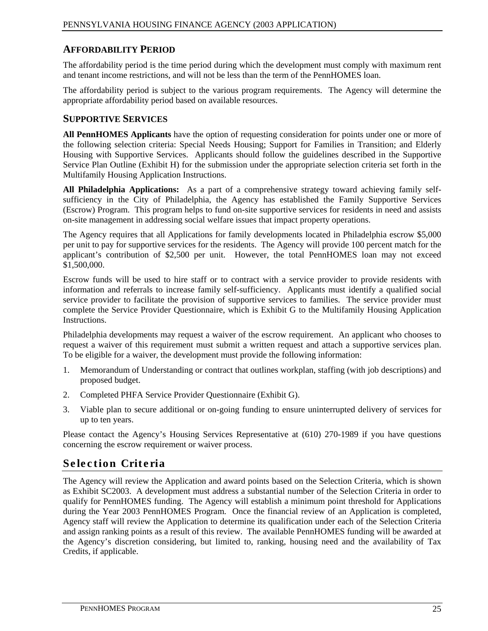#### **AFFORDABILITY PERIOD**

The affordability period is the time period during which the development must comply with maximum rent and tenant income restrictions, and will not be less than the term of the PennHOMES loan.

The affordability period is subject to the various program requirements. The Agency will determine the appropriate affordability period based on available resources.

#### **SUPPORTIVE SERVICES**

**All PennHOMES Applicants** have the option of requesting consideration for points under one or more of the following selection criteria: Special Needs Housing; Support for Families in Transition; and Elderly Housing with Supportive Services. Applicants should follow the guidelines described in the Supportive Service Plan Outline (Exhibit H) for the submission under the appropriate selection criteria set forth in the Multifamily Housing Application Instructions.

**All Philadelphia Applications:** As a part of a comprehensive strategy toward achieving family self sufficiency in the City of Philadelphia, the Agency has established the Family Supportive Services (Escrow) Program. This program helps to fund on-site supportive services for residents in need and assists on-site management in addressing social welfare issues that impact property operations.

The Agency requires that all Applications for family developments located in Philadelphia escrow \$5,000 per unit to pay for supportive services for the residents. The Agency will provide 100 percent match for the applicant's contribution of \$2,500 per unit. However, the total PennHOMES loan may not exceed \$1,500,000.

Escrow funds will be used to hire staff or to contract with a service provider to provide residents with information and referrals to increase family self-sufficiency. Applicants must identify a qualified social service provider to facilitate the provision of supportive services to families. The service provider must complete the Service Provider Questionnaire, which is Exhibit G to the Multifamily Housing Application Instructions.

Philadelphia developments may request a waiver of the escrow requirement. An applicant who chooses to request a waiver of this requirement must submit a written request and attach a supportive services plan. To be eligible for a waiver, the development must provide the following information:

- 1. Memorandum of Understanding or contract that outlines workplan, staffing (with job descriptions) and proposed budget.
- 2. Completed PHFA Service Provider Questionnaire (Exhibit G).
- 3. Viable plan to secure additional or on-going funding to ensure uninterrupted delivery of services for up to ten years.

Please contact the Agency's Housing Services Representative at (610) 270-1989 if you have questions concerning the escrow requirement or waiver process.

#### **Se le c tion Crit e ria**

The Agency will review the Application and award points based on the Selection Criteria, which is shown as Exhibit SC2003. A development must address a substantial number of the Selection Criteria in order to qualify for PennHOMES funding. The Agency will establish a minimum point threshold for Applications during the Year 2003 PennHOMES Program. Once the financial review of an Application is completed, Agency staff will review the Application to determine its qualification under each of the Selection Criteria and assign ranking points as a result of this review. The available PennHOMES funding will be awarded at the Agency's discretion considering, but limited to, ranking, housing need and the availability of Tax Credits, if applicable.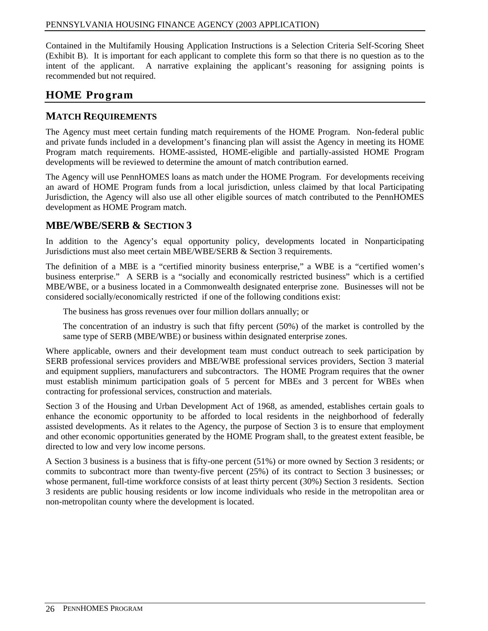Contained in the Multifamily Housing Application Instructions is a Selection Criteria Self-Scoring Sheet (Exhibit B). It is important for each applicant to complete this form so that there is no question asto the intent of the applicant. A narrative explaining the applicant's reasoning for assigning points is recommended but not required.

#### **HOME Program**

#### **MATCH REQUIREMENTS**

The Agency must meet certain funding match requirements of the HOME Program. Non-federal public and private funds included in a development's financing plan will assist the Agency in meeting its HOME Program match requirements. HOME-assisted, HOME-eligible and partially-assisted HOME Program developments will be reviewed to determine the amount of match contribution earned.

The Agency will use PennHOMES loans as match under the HOME Program. For developments receiving an award of HOME Program funds from a local jurisdiction, unless claimed by that local Participating Jurisdiction, the Agency will also use all other eligible sources of match contributed to the PennHOMES development as HOME Program match.

#### **MBE/WBE/SERB & SECTION 3**

In addition to the Agency's equal opportunity policy, developments located in Nonparticipating Jurisdictions must also meet certain MBE/WBE/SERB & Section 3 requirements.

The definition of a MBE is a "certified minority business enterprise," a WBE is a "certified women's business enterprise." A SERB is a "socially and economically restricted business" which is a certified MBE/WBE, or a business located in a Commonwealth designated enterprise zone. Businesses will not be considered socially/economically restricted if one of the following conditions exist:

The business has gross revenues over four million dollars annually; or

The concentration of an industry is such that fifty percent (50%) of the market is controlled by the same type of SERB (MBE/WBE) or business within designated enterprise zones.

Where applicable, owners and their development team must conduct outreach to seek participation by SERB professional services providers and MBE/WBE professional services providers, Section 3 material and equipment suppliers, manufacturers and subcontractors. The HOME Program requires that the owner must establish minimum participation goals of 5 percent for MBEs and 3 percent for WBEs when contracting for professional services, construction and materials.

Section 3 of the Housing and Urban Development Act of 1968, as amended, establishes certain goals to enhance the economic opportunity to be afforded to local residents in the neighborhood of federally assisted developments. As it relates to the Agency, the purpose of Section 3 is to ensure that employment and other economic opportunities generated by the HOME Program shall, to the greatest extent feasible, be directed to low and very low income persons.

A Section 3 business is a business that is fifty-one percent (51%) or more owned by Section 3 residents; or commits to subcontract more than twenty-five percent (25%) of its contract to Section 3 businesses; or whose permanent, full-time workforce consists of at least thirty percent (30%) Section 3 residents. Section 3 residents are public housing residentsor low income individuals who reside in the metropolitan area or non-metropolitan county where the development is located.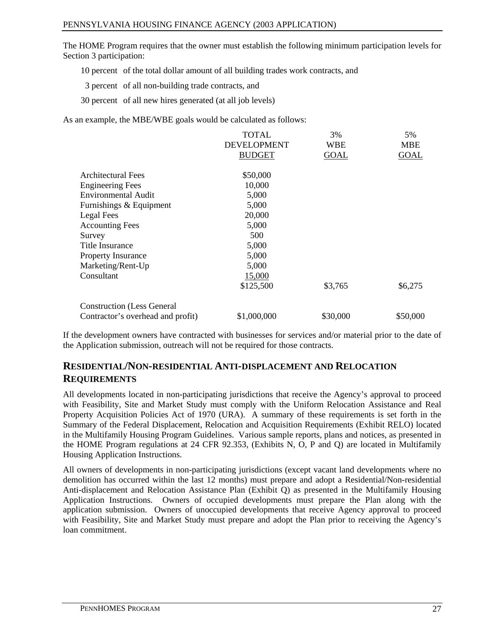The HOME Program requires that the owner must establish the following minimum participation levels for Section 3 participation:

- 10 percent of the total dollar amount of all building trades work contracts, and
- 3 percent of all non-building trade contracts, and
- 30 percent of all new hires generated (at all job levels)

As an example, the MBE/WBE goals would be calculated as follows:

|                                         | <b>TOTAL</b>               | 3%         | 5%          |
|-----------------------------------------|----------------------------|------------|-------------|
|                                         | DEVELOPMENT                | <b>WBE</b> | <b>MBE</b>  |
|                                         | <b>BUDGET</b>              | GOAL       | <b>GOAL</b> |
|                                         |                            |            |             |
| Architectural Fees                      | \$50,000                   |            |             |
| Engineering Fees<br>Environmental Audit | 10,000                     |            |             |
|                                         | 5,000                      |            |             |
| Furnishings & Equipment                 |                            |            |             |
|                                         | $5,000$<br>20,000          |            |             |
| Legal Fees<br>Accounting Fees           | 5,000                      |            |             |
|                                         | 500                        |            |             |
| Survey<br>Title Insurance               | 5,000                      |            |             |
|                                         | 5,000                      |            |             |
| Property Insurance<br>Marketing/Rent-Up | 5,000                      |            |             |
| Consultant                              |                            |            |             |
|                                         | $\frac{15,000}{\$125,500}$ | \$3,765    | \$6,275     |
|                                         |                            |            |             |
| <b>Construction (Less General</b>       |                            |            |             |
| Contractor's overhead and profit)       | \$1,000,000                | \$30,000   | \$50,000    |

If the development owners have contracted with businesses for services and/or material prior to the date of the Application submission, outreach will not be required for those contracts.

#### **RESIDENTIAL/NON-RESIDENTIAL ANTI-DISPLACEMENT AND RELOCATION REQUIREMENTS**

All developments located in non-participating jurisdictions that receive the Agency's approval to proceed with Feasibility, Site and Market Study must comply with the Uniform Relocation Assistance and Real Property Acquisition Policies Act of 1970 (URA). A summary of these requirements is set forth in the Summary of the Federal Displacement, Relocation and Acquisition Requirements (Exhibit RELO) located in the Multifamily Housing Program Guidelines. Various sample reports, plans and notices, as presented in the HOME Program regulations at 24 CFR 92.353, (Exhibits N, O, P and Q) are located in Multifamily Housing Application Instructions.

All owners of developments in non-participating jurisdictions (except vacant land developments where no demolition has occurred within the last 12 months) must prepare and adopt a Residential/Non-residential Anti-displacement and Relocation Assistance Plan (Exhibit Q) as presented in the Multifamily Housing Application Instructions. Owners of occupied developments must prepare the Plan along with the application submission. Owners of unoccupied developments that receive Agency approval to proceed with Feasibility, Site and Market Study must prepare and adopt the Plan prior to receiving the Agency's loan commitment.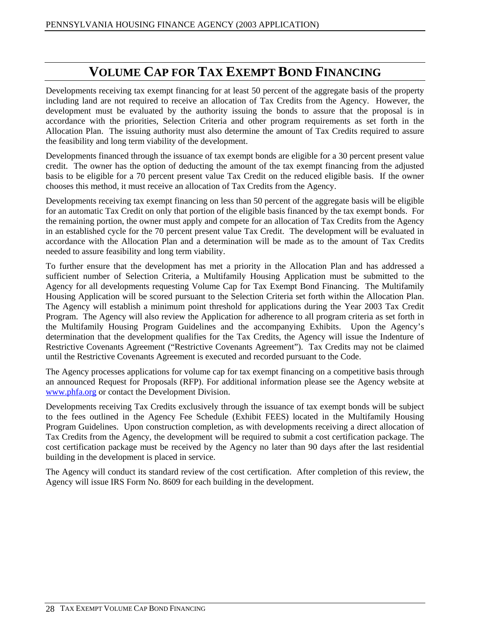#### **VOLUME CAP FOR TAX EXEMPT BOND FINANCING**

Developments receiving tax exempt financing for at least 50 percent of the aggregate basis of the property including land are not required to receive an allocation of Tax Credits from the Agency. However, the development must be evaluated by the authority issuing the bonds to assure that the proposal is in accordance with the priorities, Selection Criteria and other program requirements as set forth in the Allocation Plan. The issuing authority must also determine the amount of Tax Credits required to assure the feasibility and long term viability of the development.

Developments financed through the issuance of tax exempt bonds are eligible for a 30 percent present value credit. The owner has the option of deducting the amount of the tax exempt financing from the adjusted basis to be eligible for a 70 percent present value Tax Credit on the reduced eligible basis. If the owner chooses this method, it must receive an allocation of Tax Credits from the Agency.

Developments receiving tax exempt financing on less than 50 percent of the aggregate basis will be eligible for an automatic Tax Credit on only that portion of the eligible basis financed by the tax exempt bonds. For the remaining portion, the owner must apply and compete for an allocation of Tax Credits from the Agency in an established cycle for the 70 percent present value Tax Credit. The development will be evaluated in accordance with the Allocation Plan and a determination will be made as to the amount of Tax Credits needed to assure feasibility and long term viability.

To further ensure that the development has met a priority in the Allocation Plan and has addressed a sufficient number of Selection Criteria, a Multifamily Housing Application must be submitted to the Agency for all developments requesting Volume Cap for Tax Exempt Bond Financing. The Multifamily Housing Application will be scored pursuant to the Selection Criteria set forth within the Allocation Plan. The Agency will establish a minimum point threshold for applications during the Year 2003 Tax Credit Program. The Agency will also review the Application for adherence to all program criteria as set forth in the Multifamily Housing Program Guidelines and the accompanying Exhibits. Upon the Agency's determination that the development qualifies for the Tax Credits, the Agency will issue the Indenture of Restrictive Covenants Agreement ("Restrictive Covenants Agreement"). Tax Credits may not be claimed until the Restrictive Covenants Agreement is executed and recorded pursuant to the Code.

The Agency processes applications for volume cap for tax exempt financing on a competitive basis through an announced Request for Proposals (RFP). For additional information please see the Agency website at www.phfa.org or contact the Development Division.

Developments receiving Tax Credits exclusively through the issuance of tax exempt bonds will be subject to the fees outlined in the Agency Fee Schedule (Exhibit FEES) located in the Multifamily Housing Program Guidelines. Upon construction completion, as with developments receiving a direct allocation of Tax Credits from the Agency, the development will be required to submit a cost certification package. The cost certification package must be received by the Agency no later than 90 days after the last residential building in the development is placed in service.

The Agency will conduct its standard review of the cost certification. After completion of this review, the Agency will issue IRS Form No. 8609 for each building in the development.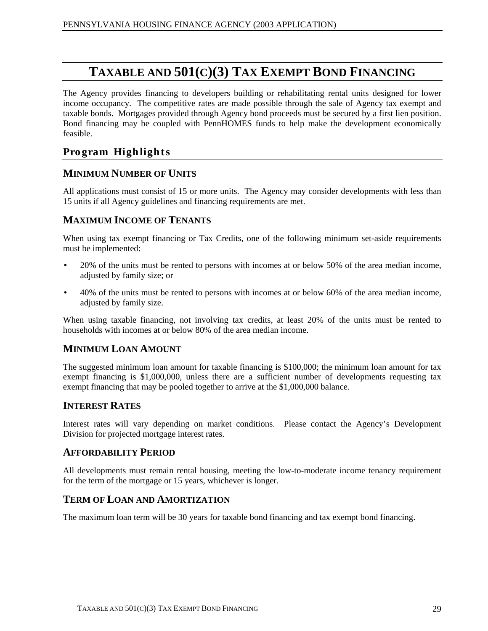#### **TAXABLE AND 501(C)(3) TAX EXEMPT BOND FINANCING**

The Agency provides financing to developers building or rehabilitating rental units designed for lower income occupancy. The competitive rates are made possible through the sale of Agency tax exempt and taxable bonds. Mortgages provided through Agency bond proceeds must be secured by a first lien position. Bond financing may be coupled with PennHOMES funds to help make the development economically feasible.

#### **Program Highlights**

#### **MINIMUM NUMBER OF UNITS**

All applications must consist of 15 or more units. The Agency may consider developments with less than 15 units if all Agency guidelines and financing requirements are met.

#### **MAXIMUM INCOME OF TENANTS**

When using tax exempt financing or Tax Credits, one of the following minimum set-aside requirements must be implemented:

- 20% of the units must be rented to persons with incomes at or below 50% of the area median income, adjusted by family size; or
- 40% of the units must be rented to persons with incomes at or below 60% of the area median income, adjusted by family size.

When using taxable financing, not involving tax credits, at least 20% of the units must be rented to households with incomes at or below 80% of the area median income.

#### **MINIMUM LOAN AMOUNT**

The suggested minimum loan amount for taxable financing is \$100,000; the minimum loan amount for tax exempt financing is \$1,000,000, unless there are a sufficient number of developments requesting tax exempt financing that may be pooled together to arrive at the \$1,000,000 balance.

#### **INTEREST RATES**

Interest rates will vary depending on market conditions. Please contact the Agency's Development Division for projected mortgage interest rates.

#### **AFFORDABILITY PERIOD**

All developments must remain rental housing, meeting the low-to-moderate income tenancy requirement for the term of the mortgage or 15 years, whichever is longer.

#### **TERM OF LOAN AND AMORTIZATION**

The maximum loan term will be 30 years for taxable bond financing and tax exempt bond financing.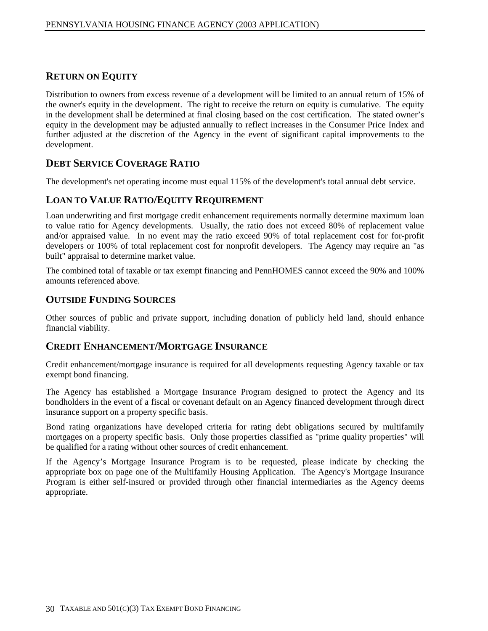#### **RETURN ON EQUITY**

Distribution to owners from excess revenue of a development will be limited to an annual return of 15% of the owner's equity in the development. Theright to receive the return on equity is cumulative. The equity in the development shall be determined at final closing based on the cost certification. The stated owner's equity in the development may be adjusted annually to reflect increases in the Consumer Price Index and further adjusted at the discretion of the Agency in the event of significant capital improvements to the development.

#### **DEBT SERVICE COVERAGE RATIO**

The development's net operating income must equal 115% of the development's total annual debt service.

#### **LOAN TO VALUE RATIO/EQUITY REQUIREMENT**

Loan underwriting and first mortgage credit enhancement requirements normally determine maximum loan to value ratio for Agency developments. Usually, the ratio does not exceed 80% of replacement value and/or appraised value. In no event may the ratio exceed 90% of total replacement cost for for-profit developers or 100% of total replacement cost for nonprofit developers. The Agency may require an "as built" appraisal to determine market value.

The combined total of taxable or tax exempt financing and PennHOMES cannot exceed the 90% and 100% amounts referenced above.

#### **OUTSIDE FUNDING SOURCES**

Other sources of public and private support, including donation of publicly held land, should enhance financial viability.

#### **CREDIT ENHANCEMENT/MORTGAGE INSURANCE**

Credit enhancement/mortgage insurance is required for all developments requesting Agency taxable or tax exempt bond financing.

The Agency has established a Mortgage Insurance Program designed to protect the Agency and its bondholders in the event of a fiscal or covenant default on an Agency financed development through direct insurance support on a property specific basis.

Bond rating organizations have developed criteria for rating debt obligations secured by multifamily mortgages on a property specific basis. Only those properties classified as"prime quality properties" will be qualified for a rating without other sources of credit enhancement.

If the Agency's Mortgage Insurance Program is to be requested, please indicate by checking the appropriate box on page one of the Multifamily Housing Application. The Agency's Mortgage Insurance Program is either self-insured or provided through other financial intermediaries as the Agency deems appropriate.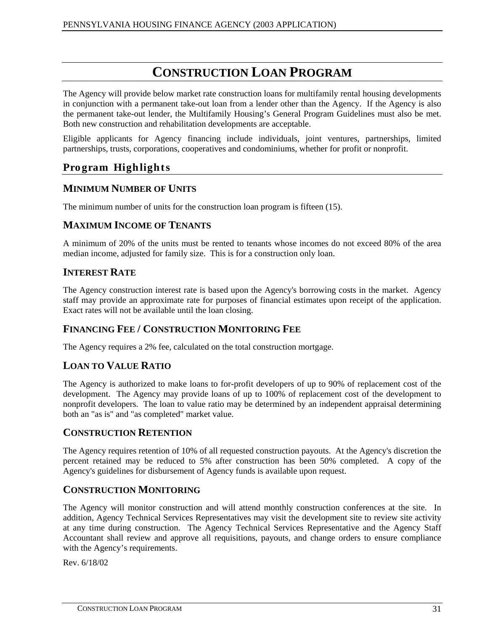#### **CONSTRUCTION LOAN PROGRAM**

The Agency will provide below market rate construction loans for multifamily rental housing developments in conjunction with a permanent take-out loan from a lender other than the Agency. If the Agency is also the permanent take-out lender, the Multifamily Housing's General Program Guidelines must also be met. Both new construction and rehabilitation developments are acceptable.

Eligible applicants for Agency financing include individuals, joint ventures, partnerships, limited partnerships, trusts, corporations, cooperatives and condominiums, whether for profit or nonprofit.

#### **Program Highlights**

#### **MINIMUM NUMBER OF UNITS**

The minimum number of units for the construction loan program is fifteen (15).

#### **MAXIMUM INCOME OF TENANTS**

A minimum of 20% of the units must be rented to tenants whose incomes do not exceed 80% of the area median income, adjusted for family size. This is for a construction only loan.

#### **INTEREST RATE**

The Agency construction interest rate is based upon the Agency's borrowing costs in the market. Agency staff may provide an approximate rate for purposes of financial estimates upon receipt of the application.Exact rates will not be available until the loan closing.

#### **FINANCING FEE / CONSTRUCTION MONITORING FEE**

The Agency requires a 2% fee, calculated on the total construction mortgage.

#### **LOAN TO VALUE RATIO**

The Agency is authorized to make loans to for-profit developers of up to 90% of replacement cost of the development. The Agency may provide loans of up to 100% of replacement cost of the development to nonprofit developers. The loan to value ratio may be determined by an independent appraisal determining both an "as is" and "as completed" market value.

#### **CONSTRUCTION RETENTION**

The Agency requires retention of 10% of all requested construction payouts. At the Agency's discretion the percent retained may be reduced to 5% after construction has been 50% completed. A copy of the Agency's guidelines for disbursement of Agency funds is available upon request.

#### **CONSTRUCTION MONITORING**

The Agency will monitor construction and will attend monthly construction conferences at the site. In addition, Agency Technical Services Representatives may visit the development site to review site activity at any time during construction. The Agency Technical Services Representative and the Agency Staff Accountant shall review and approve all requisitions, payouts, and change orders to ensure compliance with the Agency's requirements.

Rev. 6/18/02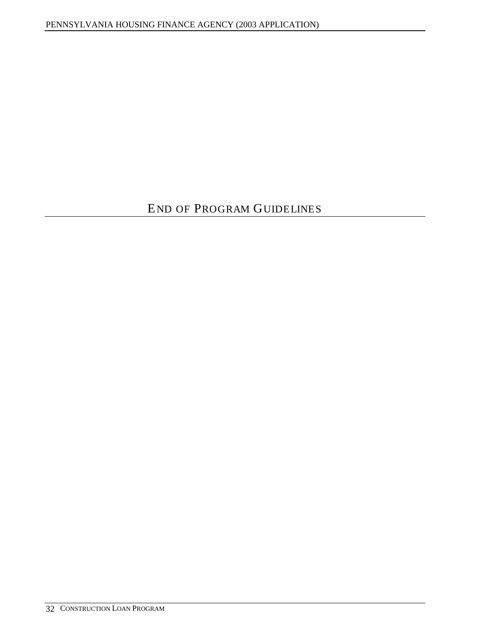### END OF PROGRAM GUIDELINES